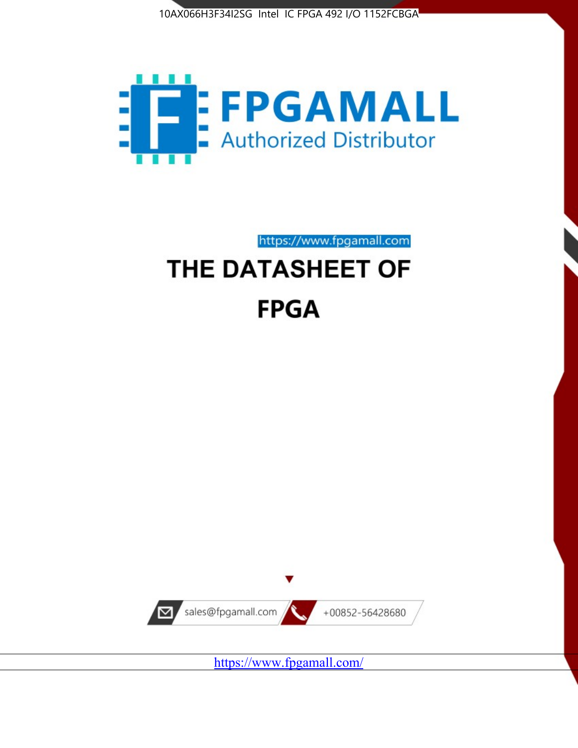



https://www.fpgamall.com

# THE DATASHEET OF **FPGA**



<https://www.fpgamall.com/>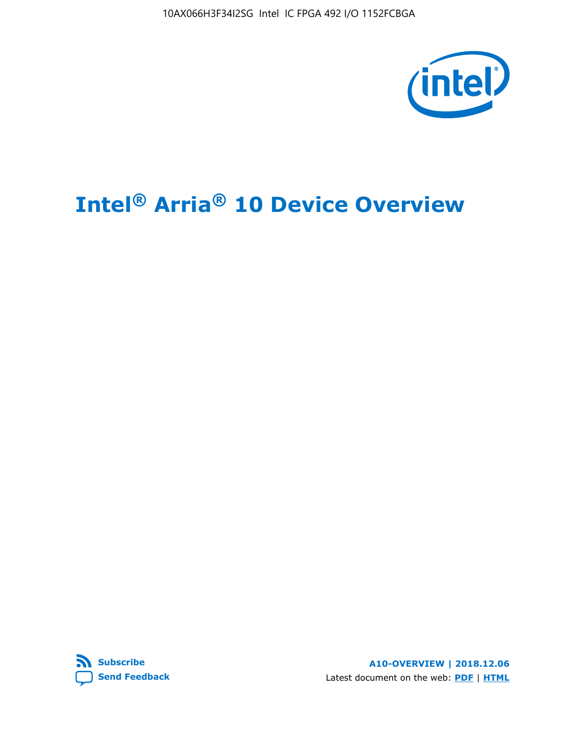10AX066H3F34I2SG Intel IC FPGA 492 I/O 1152FCBGA



# **Intel® Arria® 10 Device Overview**



**A10-OVERVIEW | 2018.12.06** Latest document on the web: **[PDF](https://www.intel.com/content/dam/www/programmable/us/en/pdfs/literature/hb/arria-10/a10_overview.pdf)** | **[HTML](https://www.intel.com/content/www/us/en/programmable/documentation/sam1403480274650.html)**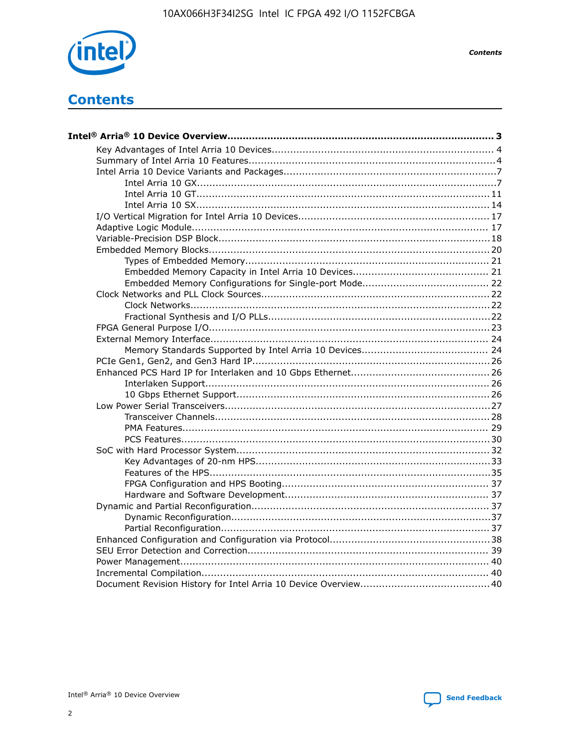

**Contents** 

# **Contents**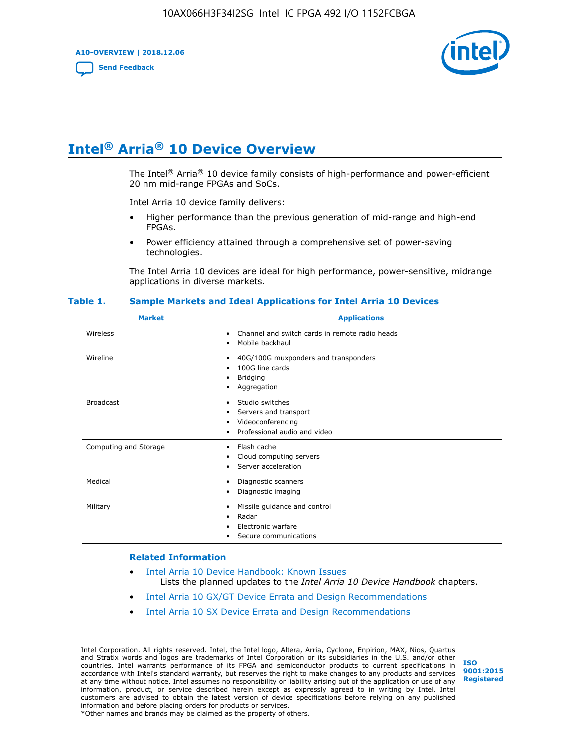**A10-OVERVIEW | 2018.12.06**

**[Send Feedback](mailto:FPGAtechdocfeedback@intel.com?subject=Feedback%20on%20Intel%20Arria%2010%20Device%20Overview%20(A10-OVERVIEW%202018.12.06)&body=We%20appreciate%20your%20feedback.%20In%20your%20comments,%20also%20specify%20the%20page%20number%20or%20paragraph.%20Thank%20you.)**



# **Intel® Arria® 10 Device Overview**

The Intel<sup>®</sup> Arria<sup>®</sup> 10 device family consists of high-performance and power-efficient 20 nm mid-range FPGAs and SoCs.

Intel Arria 10 device family delivers:

- Higher performance than the previous generation of mid-range and high-end FPGAs.
- Power efficiency attained through a comprehensive set of power-saving technologies.

The Intel Arria 10 devices are ideal for high performance, power-sensitive, midrange applications in diverse markets.

| <b>Market</b>         | <b>Applications</b>                                                                                               |
|-----------------------|-------------------------------------------------------------------------------------------------------------------|
| Wireless              | Channel and switch cards in remote radio heads<br>٠<br>Mobile backhaul<br>٠                                       |
| Wireline              | 40G/100G muxponders and transponders<br>٠<br>100G line cards<br>٠<br><b>Bridging</b><br>٠<br>Aggregation<br>٠     |
| <b>Broadcast</b>      | Studio switches<br>٠<br>Servers and transport<br>٠<br>Videoconferencing<br>٠<br>Professional audio and video<br>٠ |
| Computing and Storage | Flash cache<br>٠<br>Cloud computing servers<br>٠<br>Server acceleration<br>٠                                      |
| Medical               | Diagnostic scanners<br>٠<br>Diagnostic imaging<br>٠                                                               |
| Military              | Missile guidance and control<br>٠<br>Radar<br>٠<br>Electronic warfare<br>٠<br>Secure communications<br>٠          |

#### **Table 1. Sample Markets and Ideal Applications for Intel Arria 10 Devices**

#### **Related Information**

- [Intel Arria 10 Device Handbook: Known Issues](http://www.altera.com/support/kdb/solutions/rd07302013_646.html) Lists the planned updates to the *Intel Arria 10 Device Handbook* chapters.
- [Intel Arria 10 GX/GT Device Errata and Design Recommendations](https://www.intel.com/content/www/us/en/programmable/documentation/agz1493851706374.html#yqz1494433888646)
- [Intel Arria 10 SX Device Errata and Design Recommendations](https://www.intel.com/content/www/us/en/programmable/documentation/cru1462832385668.html#cru1462832558642)

Intel Corporation. All rights reserved. Intel, the Intel logo, Altera, Arria, Cyclone, Enpirion, MAX, Nios, Quartus and Stratix words and logos are trademarks of Intel Corporation or its subsidiaries in the U.S. and/or other countries. Intel warrants performance of its FPGA and semiconductor products to current specifications in accordance with Intel's standard warranty, but reserves the right to make changes to any products and services at any time without notice. Intel assumes no responsibility or liability arising out of the application or use of any information, product, or service described herein except as expressly agreed to in writing by Intel. Intel customers are advised to obtain the latest version of device specifications before relying on any published information and before placing orders for products or services. \*Other names and brands may be claimed as the property of others.

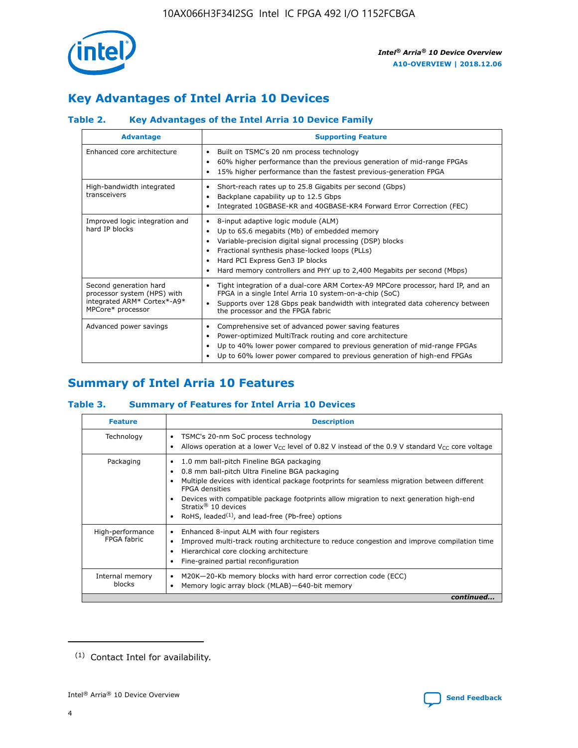

# **Key Advantages of Intel Arria 10 Devices**

## **Table 2. Key Advantages of the Intel Arria 10 Device Family**

| <b>Advantage</b>                                                                                          | <b>Supporting Feature</b>                                                                                                                                                                                                                                                                                                |  |  |  |  |  |  |
|-----------------------------------------------------------------------------------------------------------|--------------------------------------------------------------------------------------------------------------------------------------------------------------------------------------------------------------------------------------------------------------------------------------------------------------------------|--|--|--|--|--|--|
| Enhanced core architecture                                                                                | Built on TSMC's 20 nm process technology<br>٠<br>60% higher performance than the previous generation of mid-range FPGAs<br>٠<br>15% higher performance than the fastest previous-generation FPGA<br>٠                                                                                                                    |  |  |  |  |  |  |
| High-bandwidth integrated<br>transceivers                                                                 | Short-reach rates up to 25.8 Gigabits per second (Gbps)<br>٠<br>Backplane capability up to 12.5 Gbps<br>٠<br>Integrated 10GBASE-KR and 40GBASE-KR4 Forward Error Correction (FEC)<br>٠                                                                                                                                   |  |  |  |  |  |  |
| Improved logic integration and<br>hard IP blocks                                                          | 8-input adaptive logic module (ALM)<br>٠<br>Up to 65.6 megabits (Mb) of embedded memory<br>٠<br>Variable-precision digital signal processing (DSP) blocks<br>Fractional synthesis phase-locked loops (PLLs)<br>Hard PCI Express Gen3 IP blocks<br>Hard memory controllers and PHY up to 2,400 Megabits per second (Mbps) |  |  |  |  |  |  |
| Second generation hard<br>processor system (HPS) with<br>integrated ARM* Cortex*-A9*<br>MPCore* processor | Tight integration of a dual-core ARM Cortex-A9 MPCore processor, hard IP, and an<br>٠<br>FPGA in a single Intel Arria 10 system-on-a-chip (SoC)<br>Supports over 128 Gbps peak bandwidth with integrated data coherency between<br>$\bullet$<br>the processor and the FPGA fabric                                        |  |  |  |  |  |  |
| Advanced power savings                                                                                    | Comprehensive set of advanced power saving features<br>٠<br>Power-optimized MultiTrack routing and core architecture<br>٠<br>Up to 40% lower power compared to previous generation of mid-range FPGAs<br>٠<br>Up to 60% lower power compared to previous generation of high-end FPGAs                                    |  |  |  |  |  |  |

# **Summary of Intel Arria 10 Features**

## **Table 3. Summary of Features for Intel Arria 10 Devices**

| <b>Feature</b>                  | <b>Description</b>                                                                                                                                                                                                                                                                                                                                                                                 |
|---------------------------------|----------------------------------------------------------------------------------------------------------------------------------------------------------------------------------------------------------------------------------------------------------------------------------------------------------------------------------------------------------------------------------------------------|
| Technology                      | TSMC's 20-nm SoC process technology<br>Allows operation at a lower $V_{\text{CC}}$ level of 0.82 V instead of the 0.9 V standard $V_{\text{CC}}$ core voltage                                                                                                                                                                                                                                      |
| Packaging                       | 1.0 mm ball-pitch Fineline BGA packaging<br>٠<br>0.8 mm ball-pitch Ultra Fineline BGA packaging<br>Multiple devices with identical package footprints for seamless migration between different<br><b>FPGA</b> densities<br>Devices with compatible package footprints allow migration to next generation high-end<br>Stratix $@10$ devices<br>RoHS, leaded $(1)$ , and lead-free (Pb-free) options |
| High-performance<br>FPGA fabric | Enhanced 8-input ALM with four registers<br>Improved multi-track routing architecture to reduce congestion and improve compilation time<br>Hierarchical core clocking architecture<br>Fine-grained partial reconfiguration                                                                                                                                                                         |
| Internal memory<br>blocks       | M20K-20-Kb memory blocks with hard error correction code (ECC)<br>Memory logic array block (MLAB)-640-bit memory                                                                                                                                                                                                                                                                                   |
|                                 | continued                                                                                                                                                                                                                                                                                                                                                                                          |



<sup>(1)</sup> Contact Intel for availability.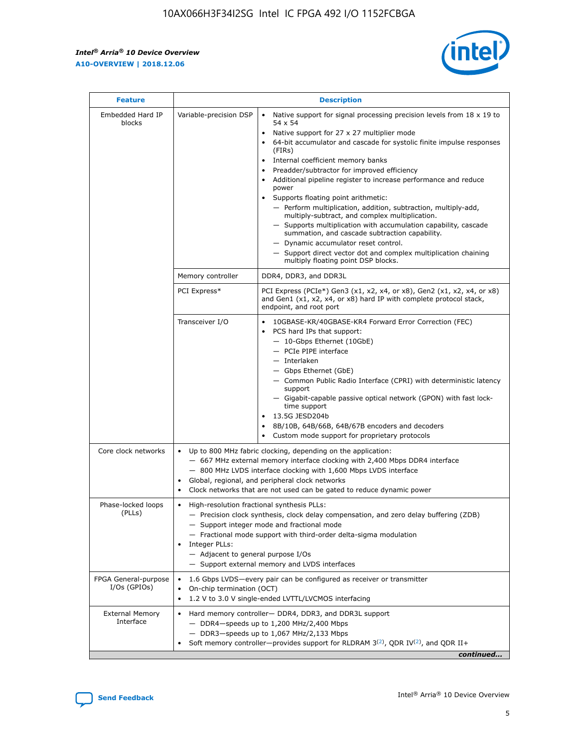r



| <b>Feature</b>                         |                                                                                                                | <b>Description</b>                                                                                                                                                                                                                                                                                                                                                                                                                                                                                                                                                                                                                                                                                                                                                                                                                                               |  |  |  |  |  |  |
|----------------------------------------|----------------------------------------------------------------------------------------------------------------|------------------------------------------------------------------------------------------------------------------------------------------------------------------------------------------------------------------------------------------------------------------------------------------------------------------------------------------------------------------------------------------------------------------------------------------------------------------------------------------------------------------------------------------------------------------------------------------------------------------------------------------------------------------------------------------------------------------------------------------------------------------------------------------------------------------------------------------------------------------|--|--|--|--|--|--|
| Embedded Hard IP<br>blocks             | Variable-precision DSP                                                                                         | Native support for signal processing precision levels from $18 \times 19$ to<br>$\bullet$<br>54 x 54<br>Native support for 27 x 27 multiplier mode<br>$\bullet$<br>64-bit accumulator and cascade for systolic finite impulse responses<br>(FIRs)<br>Internal coefficient memory banks<br>$\bullet$<br>Preadder/subtractor for improved efficiency<br>Additional pipeline register to increase performance and reduce<br>power<br>Supports floating point arithmetic:<br>- Perform multiplication, addition, subtraction, multiply-add,<br>multiply-subtract, and complex multiplication.<br>- Supports multiplication with accumulation capability, cascade<br>summation, and cascade subtraction capability.<br>- Dynamic accumulator reset control.<br>- Support direct vector dot and complex multiplication chaining<br>multiply floating point DSP blocks. |  |  |  |  |  |  |
|                                        | Memory controller                                                                                              | DDR4, DDR3, and DDR3L                                                                                                                                                                                                                                                                                                                                                                                                                                                                                                                                                                                                                                                                                                                                                                                                                                            |  |  |  |  |  |  |
|                                        | PCI Express*                                                                                                   | PCI Express (PCIe*) Gen3 (x1, x2, x4, or x8), Gen2 (x1, x2, x4, or x8)<br>and Gen1 (x1, x2, x4, or x8) hard IP with complete protocol stack,<br>endpoint, and root port                                                                                                                                                                                                                                                                                                                                                                                                                                                                                                                                                                                                                                                                                          |  |  |  |  |  |  |
|                                        | Transceiver I/O                                                                                                | 10GBASE-KR/40GBASE-KR4 Forward Error Correction (FEC)<br>PCS hard IPs that support:<br>- 10-Gbps Ethernet (10GbE)<br>- PCIe PIPE interface<br>- Interlaken<br>- Gbps Ethernet (GbE)<br>- Common Public Radio Interface (CPRI) with deterministic latency<br>support<br>- Gigabit-capable passive optical network (GPON) with fast lock-<br>time support<br>13.5G JESD204b<br>$\bullet$<br>8B/10B, 64B/66B, 64B/67B encoders and decoders<br>Custom mode support for proprietary protocols                                                                                                                                                                                                                                                                                                                                                                        |  |  |  |  |  |  |
| Core clock networks                    | $\bullet$                                                                                                      | Up to 800 MHz fabric clocking, depending on the application:<br>- 667 MHz external memory interface clocking with 2,400 Mbps DDR4 interface<br>- 800 MHz LVDS interface clocking with 1,600 Mbps LVDS interface<br>Global, regional, and peripheral clock networks<br>Clock networks that are not used can be gated to reduce dynamic power                                                                                                                                                                                                                                                                                                                                                                                                                                                                                                                      |  |  |  |  |  |  |
| Phase-locked loops<br>(PLLs)           | High-resolution fractional synthesis PLLs:<br>$\bullet$<br>Integer PLLs:<br>- Adjacent to general purpose I/Os | - Precision clock synthesis, clock delay compensation, and zero delay buffering (ZDB)<br>- Support integer mode and fractional mode<br>- Fractional mode support with third-order delta-sigma modulation<br>- Support external memory and LVDS interfaces                                                                                                                                                                                                                                                                                                                                                                                                                                                                                                                                                                                                        |  |  |  |  |  |  |
| FPGA General-purpose<br>$I/Os$ (GPIOs) | On-chip termination (OCT)<br>٠<br>$\bullet$                                                                    | 1.6 Gbps LVDS-every pair can be configured as receiver or transmitter                                                                                                                                                                                                                                                                                                                                                                                                                                                                                                                                                                                                                                                                                                                                                                                            |  |  |  |  |  |  |
| <b>External Memory</b><br>Interface    | $\bullet$                                                                                                      | 1.2 V to 3.0 V single-ended LVTTL/LVCMOS interfacing<br>Hard memory controller- DDR4, DDR3, and DDR3L support<br>$-$ DDR4-speeds up to 1,200 MHz/2,400 Mbps<br>- DDR3-speeds up to 1,067 MHz/2,133 Mbps<br>Soft memory controller—provides support for RLDRAM $3^{(2)}$ , QDR IV $^{(2)}$ , and QDR II+<br>continued                                                                                                                                                                                                                                                                                                                                                                                                                                                                                                                                             |  |  |  |  |  |  |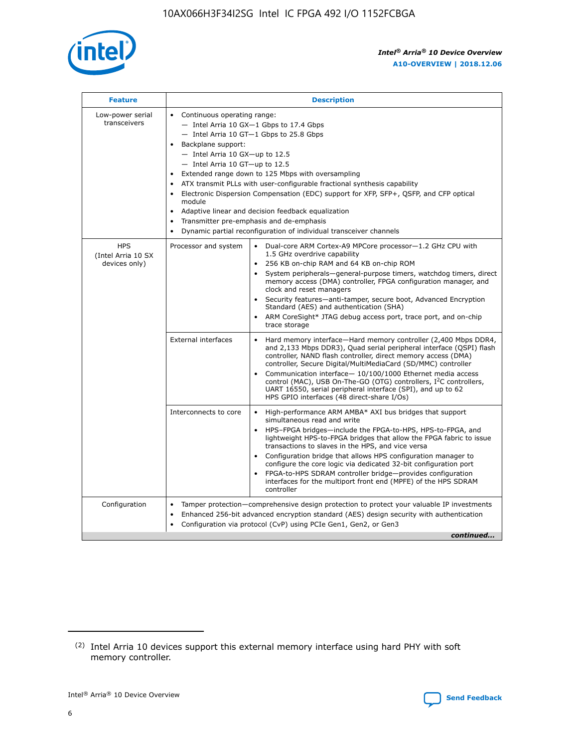

| <b>Feature</b>                                    | <b>Description</b>                                                                                                                                                                                                                                                                                                                                                                                                                                                                                                                                                                                                                                        |
|---------------------------------------------------|-----------------------------------------------------------------------------------------------------------------------------------------------------------------------------------------------------------------------------------------------------------------------------------------------------------------------------------------------------------------------------------------------------------------------------------------------------------------------------------------------------------------------------------------------------------------------------------------------------------------------------------------------------------|
| Low-power serial<br>transceivers                  | • Continuous operating range:<br>- Intel Arria 10 GX-1 Gbps to 17.4 Gbps<br>- Intel Arria 10 GT-1 Gbps to 25.8 Gbps<br>Backplane support:<br>$-$ Intel Arria 10 GX-up to 12.5<br>$-$ Intel Arria 10 GT-up to 12.5<br>Extended range down to 125 Mbps with oversampling<br>ATX transmit PLLs with user-configurable fractional synthesis capability<br>• Electronic Dispersion Compensation (EDC) support for XFP, SFP+, QSFP, and CFP optical<br>module<br>Adaptive linear and decision feedback equalization<br>$\bullet$<br>Transmitter pre-emphasis and de-emphasis<br>$\bullet$<br>Dynamic partial reconfiguration of individual transceiver channels |
| <b>HPS</b><br>(Intel Arria 10 SX<br>devices only) | Processor and system<br>Dual-core ARM Cortex-A9 MPCore processor-1.2 GHz CPU with<br>$\bullet$<br>1.5 GHz overdrive capability<br>256 KB on-chip RAM and 64 KB on-chip ROM<br>$\bullet$<br>System peripherals—general-purpose timers, watchdog timers, direct<br>memory access (DMA) controller, FPGA configuration manager, and<br>clock and reset managers<br>• Security features—anti-tamper, secure boot, Advanced Encryption<br>Standard (AES) and authentication (SHA)<br>ARM CoreSight* JTAG debug access port, trace port, and on-chip<br>$\bullet$<br>trace storage                                                                              |
|                                                   | <b>External interfaces</b><br>Hard memory interface—Hard memory controller (2,400 Mbps DDR4,<br>$\bullet$<br>and 2,133 Mbps DDR3), Quad serial peripheral interface (QSPI) flash<br>controller, NAND flash controller, direct memory access (DMA)<br>controller, Secure Digital/MultiMediaCard (SD/MMC) controller<br>Communication interface-10/100/1000 Ethernet media access<br>$\bullet$<br>control (MAC), USB On-The-GO (OTG) controllers, I <sup>2</sup> C controllers,<br>UART 16550, serial peripheral interface (SPI), and up to 62<br>HPS GPIO interfaces (48 direct-share I/Os)                                                                |
|                                                   | High-performance ARM AMBA* AXI bus bridges that support<br>Interconnects to core<br>$\bullet$<br>simultaneous read and write<br>HPS-FPGA bridges—include the FPGA-to-HPS, HPS-to-FPGA, and<br>$\bullet$<br>lightweight HPS-to-FPGA bridges that allow the FPGA fabric to issue<br>transactions to slaves in the HPS, and vice versa<br>Configuration bridge that allows HPS configuration manager to<br>configure the core logic via dedicated 32-bit configuration port<br>FPGA-to-HPS SDRAM controller bridge-provides configuration<br>interfaces for the multiport front end (MPFE) of the HPS SDRAM<br>controller                                    |
| Configuration                                     | Tamper protection—comprehensive design protection to protect your valuable IP investments<br>Enhanced 256-bit advanced encryption standard (AES) design security with authentication<br>٠<br>Configuration via protocol (CvP) using PCIe Gen1, Gen2, or Gen3<br>continued                                                                                                                                                                                                                                                                                                                                                                                 |

<sup>(2)</sup> Intel Arria 10 devices support this external memory interface using hard PHY with soft memory controller.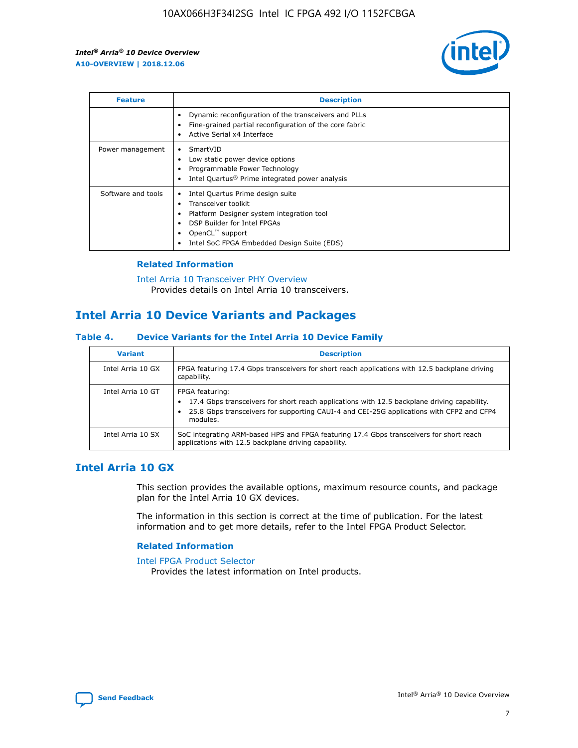

| <b>Feature</b>     | <b>Description</b>                                                                                                                                                                                               |
|--------------------|------------------------------------------------------------------------------------------------------------------------------------------------------------------------------------------------------------------|
|                    | Dynamic reconfiguration of the transceivers and PLLs<br>Fine-grained partial reconfiguration of the core fabric<br>Active Serial x4 Interface<br>$\bullet$                                                       |
| Power management   | SmartVID<br>Low static power device options<br>Programmable Power Technology<br>Intel Quartus <sup>®</sup> Prime integrated power analysis                                                                       |
| Software and tools | Intel Quartus Prime design suite<br>Transceiver toolkit<br>Platform Designer system integration tool<br>DSP Builder for Intel FPGAs<br>OpenCL <sup>™</sup> support<br>Intel SoC FPGA Embedded Design Suite (EDS) |

## **Related Information**

[Intel Arria 10 Transceiver PHY Overview](https://www.intel.com/content/www/us/en/programmable/documentation/nik1398707230472.html#nik1398706768037) Provides details on Intel Arria 10 transceivers.

# **Intel Arria 10 Device Variants and Packages**

#### **Table 4. Device Variants for the Intel Arria 10 Device Family**

| <b>Variant</b>    | <b>Description</b>                                                                                                                                                                                                     |
|-------------------|------------------------------------------------------------------------------------------------------------------------------------------------------------------------------------------------------------------------|
| Intel Arria 10 GX | FPGA featuring 17.4 Gbps transceivers for short reach applications with 12.5 backplane driving<br>capability.                                                                                                          |
| Intel Arria 10 GT | FPGA featuring:<br>17.4 Gbps transceivers for short reach applications with 12.5 backplane driving capability.<br>25.8 Gbps transceivers for supporting CAUI-4 and CEI-25G applications with CFP2 and CFP4<br>modules. |
| Intel Arria 10 SX | SoC integrating ARM-based HPS and FPGA featuring 17.4 Gbps transceivers for short reach<br>applications with 12.5 backplane driving capability.                                                                        |

## **Intel Arria 10 GX**

This section provides the available options, maximum resource counts, and package plan for the Intel Arria 10 GX devices.

The information in this section is correct at the time of publication. For the latest information and to get more details, refer to the Intel FPGA Product Selector.

#### **Related Information**

#### [Intel FPGA Product Selector](http://www.altera.com/products/selector/psg-selector.html) Provides the latest information on Intel products.

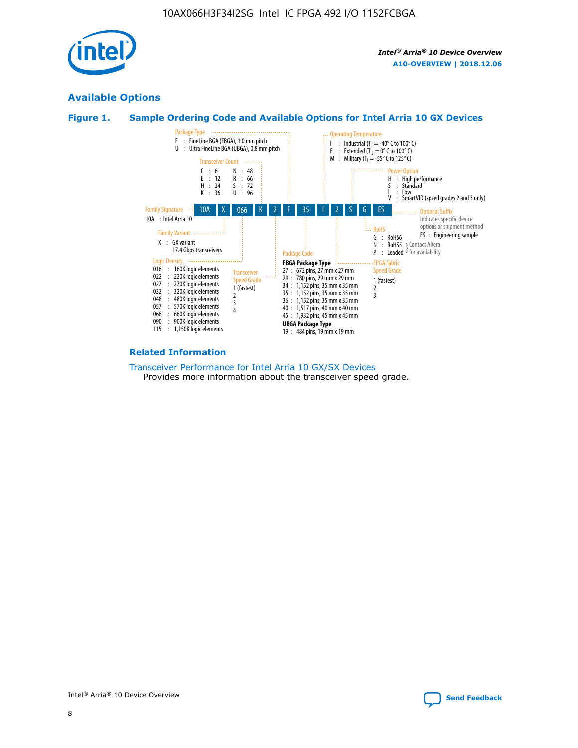

## **Available Options**





#### **Related Information**

[Transceiver Performance for Intel Arria 10 GX/SX Devices](https://www.intel.com/content/www/us/en/programmable/documentation/mcn1413182292568.html#mcn1413213965502) Provides more information about the transceiver speed grade.

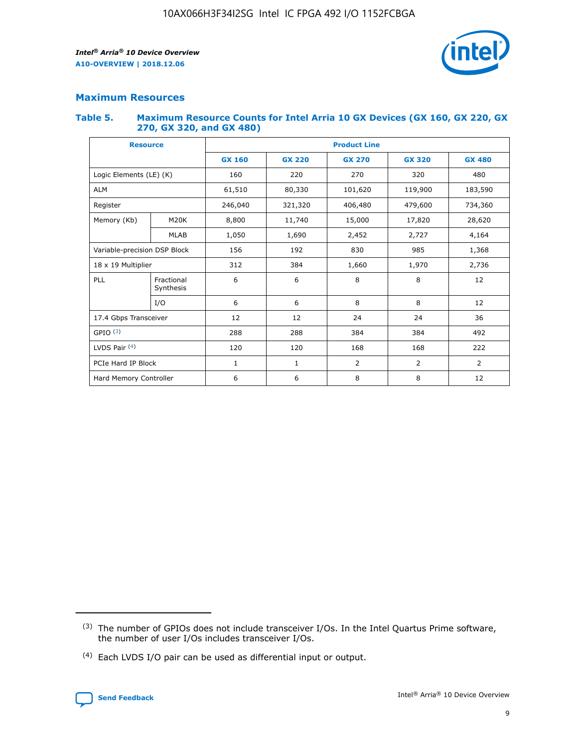

## **Maximum Resources**

#### **Table 5. Maximum Resource Counts for Intel Arria 10 GX Devices (GX 160, GX 220, GX 270, GX 320, and GX 480)**

| <b>Resource</b>         |                              | <b>Product Line</b> |                                                 |                |                |                |  |  |
|-------------------------|------------------------------|---------------------|-------------------------------------------------|----------------|----------------|----------------|--|--|
|                         |                              | <b>GX 160</b>       | <b>GX 220</b><br><b>GX 270</b><br><b>GX 320</b> |                |                | <b>GX 480</b>  |  |  |
| Logic Elements (LE) (K) |                              | 160                 | 220                                             | 270            | 320            | 480            |  |  |
| <b>ALM</b>              |                              | 61,510              | 80,330                                          | 101,620        | 119,900        | 183,590        |  |  |
| Register                |                              | 246,040             | 321,320                                         | 406,480        | 479,600        | 734,360        |  |  |
| Memory (Kb)             | M <sub>20</sub> K            | 8,800               | 11,740                                          | 15,000         | 17,820         | 28,620         |  |  |
|                         | <b>MLAB</b>                  | 1,050               | 1,690                                           | 2,452          | 2,727          | 4,164          |  |  |
|                         | Variable-precision DSP Block |                     | 192                                             | 830<br>985     |                | 1,368          |  |  |
| 18 x 19 Multiplier      |                              | 312                 | 384                                             | 1,970<br>1,660 |                | 2,736          |  |  |
| PLL                     | Fractional<br>Synthesis      | 6                   | 6                                               | 8              | 8              | 12             |  |  |
|                         | I/O                          | 6                   | 6                                               | 8              | 8              | 12             |  |  |
| 17.4 Gbps Transceiver   |                              | 12                  | 12                                              | 24             | 24             | 36             |  |  |
| GPIO <sup>(3)</sup>     |                              | 288                 | 288                                             | 384            | 384            | 492            |  |  |
| LVDS Pair $(4)$         |                              | 120                 | 120                                             | 168            | 168            | 222            |  |  |
| PCIe Hard IP Block      |                              | 1                   | 1                                               | 2              | $\overline{2}$ | $\overline{2}$ |  |  |
| Hard Memory Controller  |                              | 6                   | 6                                               | 8              | 8              | 12             |  |  |

<sup>(4)</sup> Each LVDS I/O pair can be used as differential input or output.



<sup>(3)</sup> The number of GPIOs does not include transceiver I/Os. In the Intel Quartus Prime software, the number of user I/Os includes transceiver I/Os.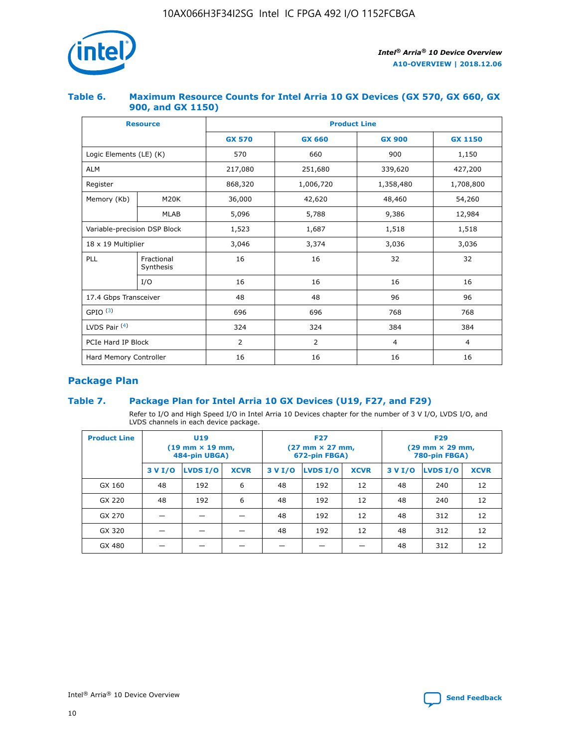

## **Table 6. Maximum Resource Counts for Intel Arria 10 GX Devices (GX 570, GX 660, GX 900, and GX 1150)**

|                              | <b>Resource</b>         | <b>Product Line</b> |                |                |                |  |  |  |
|------------------------------|-------------------------|---------------------|----------------|----------------|----------------|--|--|--|
|                              |                         | <b>GX 570</b>       | <b>GX 660</b>  |                | <b>GX 1150</b> |  |  |  |
| Logic Elements (LE) (K)      |                         | 570                 | 660            | 900            | 1,150          |  |  |  |
| <b>ALM</b>                   |                         | 217,080             | 251,680        | 339,620        | 427,200        |  |  |  |
| Register                     |                         | 868,320             | 1,006,720      | 1,358,480      | 1,708,800      |  |  |  |
| Memory (Kb)                  | <b>M20K</b>             | 36,000              | 42,620         | 48,460         | 54,260         |  |  |  |
|                              | <b>MLAB</b>             | 5,096               | 5,788          | 9,386          | 12,984         |  |  |  |
| Variable-precision DSP Block |                         | 1,523               | 1,687          | 1,518          | 1,518          |  |  |  |
| $18 \times 19$ Multiplier    |                         | 3,046               | 3,374          | 3,036          | 3,036          |  |  |  |
| PLL                          | Fractional<br>Synthesis | 16                  | 16             | 32             | 32             |  |  |  |
|                              | I/O                     | 16                  | 16             | 16             | 16             |  |  |  |
| 17.4 Gbps Transceiver        |                         | 48                  | 96<br>48       |                | 96             |  |  |  |
| GPIO <sup>(3)</sup>          |                         | 696                 | 696            | 768            | 768            |  |  |  |
| LVDS Pair $(4)$              |                         | 324                 | 324<br>384     |                | 384            |  |  |  |
| PCIe Hard IP Block           |                         | $\overline{2}$      | $\overline{2}$ | $\overline{4}$ | $\overline{4}$ |  |  |  |
| Hard Memory Controller       |                         | 16                  | 16             | 16             | 16             |  |  |  |

## **Package Plan**

## **Table 7. Package Plan for Intel Arria 10 GX Devices (U19, F27, and F29)**

Refer to I/O and High Speed I/O in Intel Arria 10 Devices chapter for the number of 3 V I/O, LVDS I/O, and LVDS channels in each device package.

| <b>Product Line</b> | <b>U19</b><br>$(19 \text{ mm} \times 19 \text{ mm})$<br>484-pin UBGA) |          |             |         | <b>F27</b><br>(27 mm × 27 mm,<br>672-pin FBGA) |             | <b>F29</b><br>(29 mm × 29 mm,<br>780-pin FBGA) |          |             |  |
|---------------------|-----------------------------------------------------------------------|----------|-------------|---------|------------------------------------------------|-------------|------------------------------------------------|----------|-------------|--|
|                     | 3 V I/O                                                               | LVDS I/O | <b>XCVR</b> | 3 V I/O | LVDS I/O                                       | <b>XCVR</b> | 3 V I/O                                        | LVDS I/O | <b>XCVR</b> |  |
| GX 160              | 48                                                                    | 192      | 6           | 48      | 192                                            | 12          | 48                                             | 240      | 12          |  |
| GX 220              | 48                                                                    | 192      | 6           | 48      | 192                                            | 12          | 48                                             | 240      | 12          |  |
| GX 270              |                                                                       |          |             | 48      | 192                                            | 12          | 48                                             | 312      | 12          |  |
| GX 320              |                                                                       |          |             | 48      | 192                                            | 12          | 48                                             | 312      | 12          |  |
| GX 480              |                                                                       |          |             |         |                                                |             | 48                                             | 312      | 12          |  |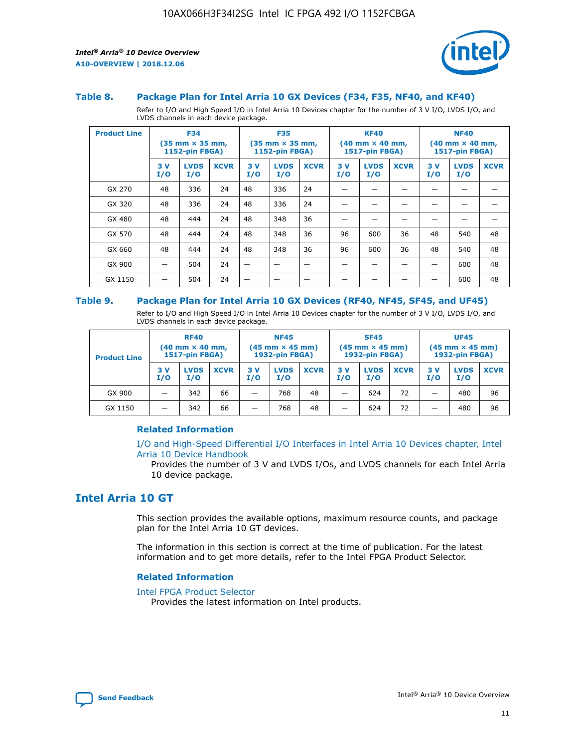



#### **Table 8. Package Plan for Intel Arria 10 GX Devices (F34, F35, NF40, and KF40)**

Refer to I/O and High Speed I/O in Intel Arria 10 Devices chapter for the number of 3 V I/O, LVDS I/O, and LVDS channels in each device package.

| <b>Product Line</b> | <b>F34</b><br>$(35 \text{ mm} \times 35 \text{ mm})$<br><b>1152-pin FBGA)</b> |                    | <b>F35</b><br>$(35 \text{ mm} \times 35 \text{ mm})$<br><b>1152-pin FBGA)</b> |           | <b>KF40</b><br>$(40$ mm $\times$ 40 mm,<br><b>1517-pin FBGA)</b> |             |           | <b>NF40</b><br>$(40 \text{ mm} \times 40 \text{ mm})$<br>1517-pin FBGA) |             |           |                    |             |
|---------------------|-------------------------------------------------------------------------------|--------------------|-------------------------------------------------------------------------------|-----------|------------------------------------------------------------------|-------------|-----------|-------------------------------------------------------------------------|-------------|-----------|--------------------|-------------|
|                     | 3V<br>I/O                                                                     | <b>LVDS</b><br>I/O | <b>XCVR</b>                                                                   | 3V<br>I/O | <b>LVDS</b><br>I/O                                               | <b>XCVR</b> | 3V<br>I/O | <b>LVDS</b><br>I/O                                                      | <b>XCVR</b> | 3V<br>I/O | <b>LVDS</b><br>I/O | <b>XCVR</b> |
| GX 270              | 48                                                                            | 336                | 24                                                                            | 48        | 336                                                              | 24          |           |                                                                         |             |           |                    |             |
| GX 320              | 48                                                                            | 336                | 24                                                                            | 48        | 336                                                              | 24          |           |                                                                         |             |           |                    |             |
| GX 480              | 48                                                                            | 444                | 24                                                                            | 48        | 348                                                              | 36          |           |                                                                         |             |           |                    |             |
| GX 570              | 48                                                                            | 444                | 24                                                                            | 48        | 348                                                              | 36          | 96        | 600                                                                     | 36          | 48        | 540                | 48          |
| GX 660              | 48                                                                            | 444                | 24                                                                            | 48        | 348                                                              | 36          | 96        | 600                                                                     | 36          | 48        | 540                | 48          |
| GX 900              |                                                                               | 504                | 24                                                                            | —         |                                                                  | -           |           |                                                                         |             |           | 600                | 48          |
| GX 1150             |                                                                               | 504                | 24                                                                            |           |                                                                  |             |           |                                                                         |             |           | 600                | 48          |

#### **Table 9. Package Plan for Intel Arria 10 GX Devices (RF40, NF45, SF45, and UF45)**

Refer to I/O and High Speed I/O in Intel Arria 10 Devices chapter for the number of 3 V I/O, LVDS I/O, and LVDS channels in each device package.

| <b>Product Line</b> | <b>RF40</b><br>$(40$ mm $\times$ 40 mm,<br>1517-pin FBGA) |                    | <b>NF45</b><br>$(45 \text{ mm} \times 45 \text{ mm})$<br><b>1932-pin FBGA)</b> |            |                    | <b>SF45</b><br>$(45 \text{ mm} \times 45 \text{ mm})$<br><b>1932-pin FBGA)</b> |            |                    | <b>UF45</b><br>$(45 \text{ mm} \times 45 \text{ mm})$<br><b>1932-pin FBGA)</b> |           |                    |             |
|---------------------|-----------------------------------------------------------|--------------------|--------------------------------------------------------------------------------|------------|--------------------|--------------------------------------------------------------------------------|------------|--------------------|--------------------------------------------------------------------------------|-----------|--------------------|-------------|
|                     | 3V<br>I/O                                                 | <b>LVDS</b><br>I/O | <b>XCVR</b>                                                                    | 3 V<br>I/O | <b>LVDS</b><br>I/O | <b>XCVR</b>                                                                    | 3 V<br>I/O | <b>LVDS</b><br>I/O | <b>XCVR</b>                                                                    | 3V<br>I/O | <b>LVDS</b><br>I/O | <b>XCVR</b> |
| GX 900              |                                                           | 342                | 66                                                                             | _          | 768                | 48                                                                             |            | 624                | 72                                                                             |           | 480                | 96          |
| GX 1150             |                                                           | 342                | 66                                                                             | _          | 768                | 48                                                                             |            | 624                | 72                                                                             |           | 480                | 96          |

## **Related Information**

[I/O and High-Speed Differential I/O Interfaces in Intel Arria 10 Devices chapter, Intel](https://www.intel.com/content/www/us/en/programmable/documentation/sam1403482614086.html#sam1403482030321) [Arria 10 Device Handbook](https://www.intel.com/content/www/us/en/programmable/documentation/sam1403482614086.html#sam1403482030321)

Provides the number of 3 V and LVDS I/Os, and LVDS channels for each Intel Arria 10 device package.

## **Intel Arria 10 GT**

This section provides the available options, maximum resource counts, and package plan for the Intel Arria 10 GT devices.

The information in this section is correct at the time of publication. For the latest information and to get more details, refer to the Intel FPGA Product Selector.

#### **Related Information**

#### [Intel FPGA Product Selector](http://www.altera.com/products/selector/psg-selector.html)

Provides the latest information on Intel products.

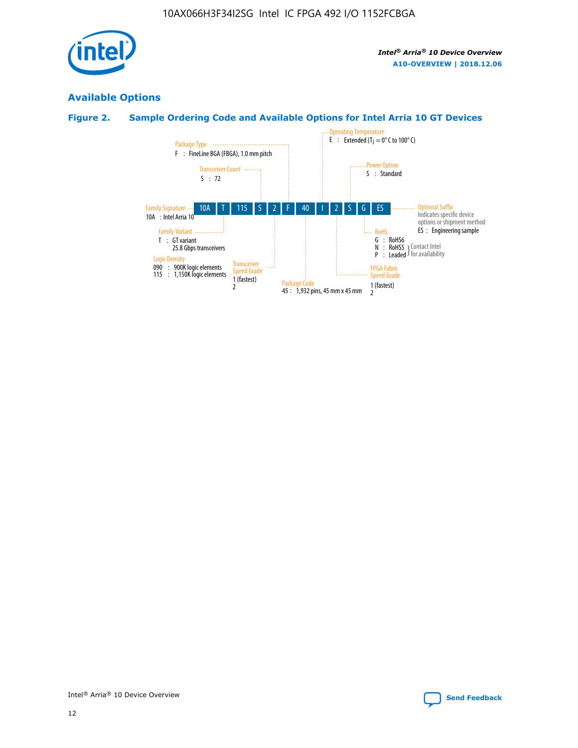

## **Available Options**

## **Figure 2. Sample Ordering Code and Available Options for Intel Arria 10 GT Devices**

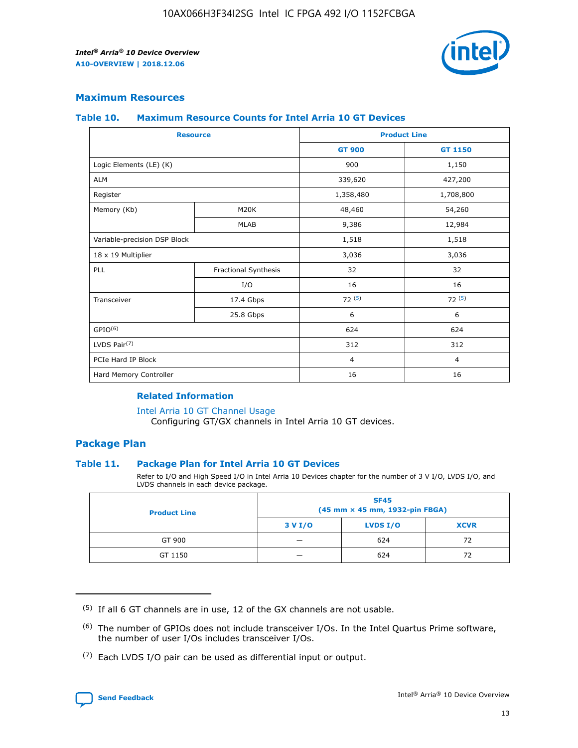

## **Maximum Resources**

#### **Table 10. Maximum Resource Counts for Intel Arria 10 GT Devices**

| <b>Resource</b>              |                      | <b>Product Line</b> |                |  |
|------------------------------|----------------------|---------------------|----------------|--|
|                              |                      | <b>GT 900</b>       | <b>GT 1150</b> |  |
| Logic Elements (LE) (K)      |                      | 900                 | 1,150          |  |
| <b>ALM</b>                   |                      | 339,620             | 427,200        |  |
| Register                     |                      | 1,358,480           | 1,708,800      |  |
| Memory (Kb)                  | M20K                 | 48,460              | 54,260         |  |
|                              | <b>MLAB</b>          | 9,386               | 12,984         |  |
| Variable-precision DSP Block |                      | 1,518               | 1,518          |  |
| 18 x 19 Multiplier           |                      | 3,036               | 3,036          |  |
| PLL                          | Fractional Synthesis | 32                  | 32             |  |
|                              | I/O                  | 16                  | 16             |  |
| Transceiver                  | 17.4 Gbps            | 72(5)               | 72(5)          |  |
|                              | 25.8 Gbps            | 6                   | 6              |  |
| GPIO <sup>(6)</sup>          |                      | 624                 | 624            |  |
| LVDS Pair $(7)$              |                      | 312                 | 312            |  |
| PCIe Hard IP Block           |                      | $\overline{4}$      | $\overline{4}$ |  |
| Hard Memory Controller       |                      | 16                  | 16             |  |

#### **Related Information**

#### [Intel Arria 10 GT Channel Usage](https://www.intel.com/content/www/us/en/programmable/documentation/nik1398707230472.html#nik1398707008178)

Configuring GT/GX channels in Intel Arria 10 GT devices.

## **Package Plan**

### **Table 11. Package Plan for Intel Arria 10 GT Devices**

Refer to I/O and High Speed I/O in Intel Arria 10 Devices chapter for the number of 3 V I/O, LVDS I/O, and LVDS channels in each device package.

| <b>Product Line</b> | <b>SF45</b><br>(45 mm × 45 mm, 1932-pin FBGA) |                 |             |  |  |  |
|---------------------|-----------------------------------------------|-----------------|-------------|--|--|--|
|                     | 3 V I/O                                       | <b>LVDS I/O</b> | <b>XCVR</b> |  |  |  |
| GT 900              |                                               | 624             | 72          |  |  |  |
| GT 1150             |                                               | 624             | 72          |  |  |  |

<sup>(7)</sup> Each LVDS I/O pair can be used as differential input or output.



 $(5)$  If all 6 GT channels are in use, 12 of the GX channels are not usable.

<sup>(6)</sup> The number of GPIOs does not include transceiver I/Os. In the Intel Quartus Prime software, the number of user I/Os includes transceiver I/Os.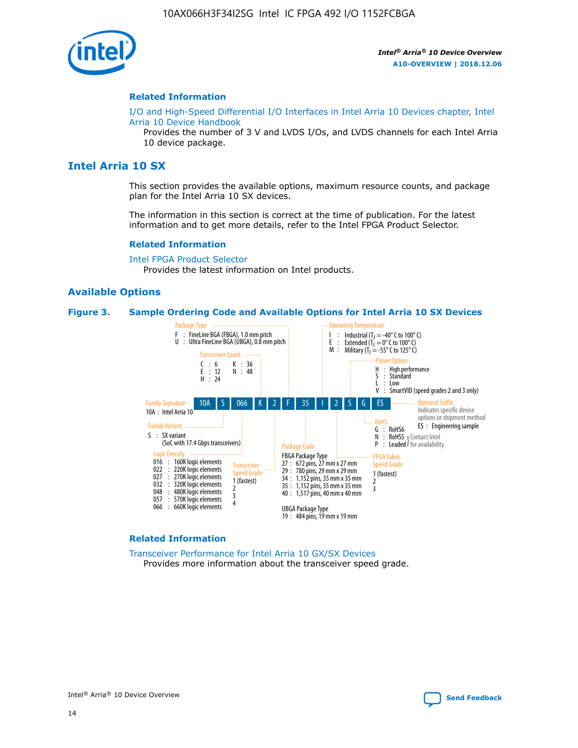

#### **Related Information**

[I/O and High-Speed Differential I/O Interfaces in Intel Arria 10 Devices chapter, Intel](https://www.intel.com/content/www/us/en/programmable/documentation/sam1403482614086.html#sam1403482030321) [Arria 10 Device Handbook](https://www.intel.com/content/www/us/en/programmable/documentation/sam1403482614086.html#sam1403482030321)

Provides the number of 3 V and LVDS I/Os, and LVDS channels for each Intel Arria 10 device package.

## **Intel Arria 10 SX**

This section provides the available options, maximum resource counts, and package plan for the Intel Arria 10 SX devices.

The information in this section is correct at the time of publication. For the latest information and to get more details, refer to the Intel FPGA Product Selector.

#### **Related Information**

[Intel FPGA Product Selector](http://www.altera.com/products/selector/psg-selector.html) Provides the latest information on Intel products.

#### **Available Options**

#### **Figure 3. Sample Ordering Code and Available Options for Intel Arria 10 SX Devices**



#### **Related Information**

[Transceiver Performance for Intel Arria 10 GX/SX Devices](https://www.intel.com/content/www/us/en/programmable/documentation/mcn1413182292568.html#mcn1413213965502) Provides more information about the transceiver speed grade.

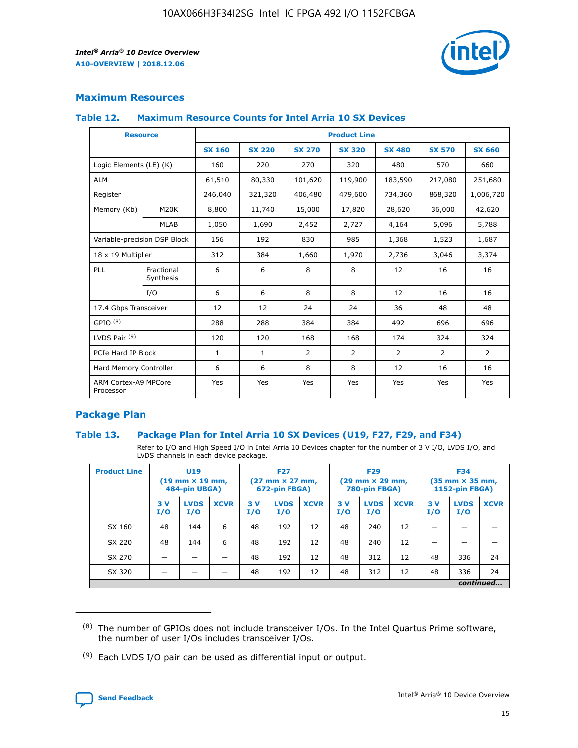

## **Maximum Resources**

### **Table 12. Maximum Resource Counts for Intel Arria 10 SX Devices**

| <b>Resource</b>                   |                         | <b>Product Line</b> |               |                |                |                |                |                |  |  |  |
|-----------------------------------|-------------------------|---------------------|---------------|----------------|----------------|----------------|----------------|----------------|--|--|--|
|                                   |                         | <b>SX 160</b>       | <b>SX 220</b> | <b>SX 270</b>  | <b>SX 320</b>  | <b>SX 480</b>  | <b>SX 570</b>  | <b>SX 660</b>  |  |  |  |
| Logic Elements (LE) (K)           |                         | 160                 | 220           | 270            | 320            | 480            | 570            | 660            |  |  |  |
| <b>ALM</b>                        |                         | 61,510              | 80,330        | 101,620        | 119,900        | 183,590        | 217,080        | 251,680        |  |  |  |
| Register                          |                         | 246,040             | 321,320       | 406,480        | 479,600        | 734,360        | 868,320        | 1,006,720      |  |  |  |
| Memory (Kb)                       | <b>M20K</b>             | 8,800               | 11,740        | 15,000         | 17,820         | 28,620         | 36,000         | 42,620         |  |  |  |
|                                   | <b>MLAB</b>             | 1,050               | 1,690         | 2,452          | 2,727          | 4,164          | 5,096          | 5,788          |  |  |  |
| Variable-precision DSP Block      |                         | 156                 | 192           | 830            | 985            | 1,368          | 1,523          | 1,687          |  |  |  |
| 18 x 19 Multiplier                |                         | 312                 | 384           | 1,660          | 1,970          | 2,736          | 3,046          | 3,374          |  |  |  |
| PLL                               | Fractional<br>Synthesis | 6                   | 6             | 8              | 8              | 12             | 16             | 16             |  |  |  |
|                                   | I/O                     | 6                   | 6             | 8              | 8              | 12             | 16             | 16             |  |  |  |
| 17.4 Gbps Transceiver             |                         | 12                  | 12            | 24             | 24             | 36             | 48             | 48             |  |  |  |
| GPIO <sup>(8)</sup>               |                         | 288                 | 288           | 384            | 384            | 492            | 696            | 696            |  |  |  |
| LVDS Pair $(9)$                   |                         | 120                 | 120           | 168            | 168            | 174            | 324            | 324            |  |  |  |
| PCIe Hard IP Block                |                         | $\mathbf{1}$        | $\mathbf{1}$  | $\overline{2}$ | $\overline{2}$ | $\overline{2}$ | $\overline{2}$ | $\overline{2}$ |  |  |  |
| Hard Memory Controller            |                         | 6                   | 6             | 8              | 8              | 12             | 16             | 16             |  |  |  |
| ARM Cortex-A9 MPCore<br>Processor |                         | Yes                 | Yes           | Yes            | Yes            | Yes            | Yes            | <b>Yes</b>     |  |  |  |

## **Package Plan**

### **Table 13. Package Plan for Intel Arria 10 SX Devices (U19, F27, F29, and F34)**

Refer to I/O and High Speed I/O in Intel Arria 10 Devices chapter for the number of 3 V I/O, LVDS I/O, and LVDS channels in each device package.

| <b>Product Line</b> | U19<br>$(19 \text{ mm} \times 19 \text{ mm})$<br>484-pin UBGA) |                    | <b>F27</b><br>$(27 \text{ mm} \times 27 \text{ mm})$<br>672-pin FBGA) |           | <b>F29</b><br>$(29 \text{ mm} \times 29 \text{ mm})$<br>780-pin FBGA) |             |            | <b>F34</b><br>$(35 \text{ mm} \times 35 \text{ mm})$<br><b>1152-pin FBGA)</b> |             |           |                    |             |
|---------------------|----------------------------------------------------------------|--------------------|-----------------------------------------------------------------------|-----------|-----------------------------------------------------------------------|-------------|------------|-------------------------------------------------------------------------------|-------------|-----------|--------------------|-------------|
|                     | 3V<br>I/O                                                      | <b>LVDS</b><br>I/O | <b>XCVR</b>                                                           | 3V<br>I/O | <b>LVDS</b><br>I/O                                                    | <b>XCVR</b> | 3 V<br>I/O | <b>LVDS</b><br>I/O                                                            | <b>XCVR</b> | 3V<br>I/O | <b>LVDS</b><br>I/O | <b>XCVR</b> |
| SX 160              | 48                                                             | 144                | 6                                                                     | 48        | 192                                                                   | 12          | 48         | 240                                                                           | 12          | –         |                    |             |
| SX 220              | 48                                                             | 144                | 6                                                                     | 48        | 192                                                                   | 12          | 48         | 240                                                                           | 12          |           |                    |             |
| SX 270              |                                                                |                    |                                                                       | 48        | 192                                                                   | 12          | 48         | 312                                                                           | 12          | 48        | 336                | 24          |
| SX 320              |                                                                |                    |                                                                       | 48        | 192                                                                   | 12          | 48         | 312                                                                           | 12          | 48        | 336                | 24          |
|                     | continued                                                      |                    |                                                                       |           |                                                                       |             |            |                                                                               |             |           |                    |             |

 $(8)$  The number of GPIOs does not include transceiver I/Os. In the Intel Quartus Prime software, the number of user I/Os includes transceiver I/Os.

 $(9)$  Each LVDS I/O pair can be used as differential input or output.

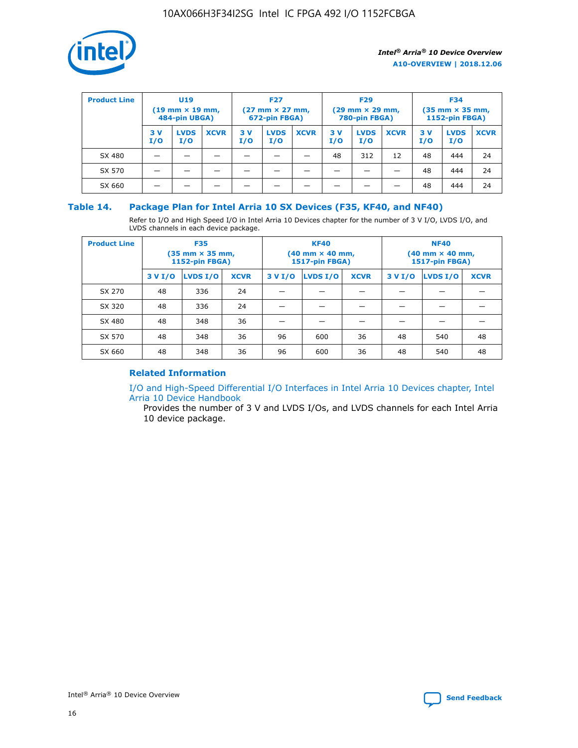

| <b>Product Line</b> | U <sub>19</sub><br>$(19 \text{ mm} \times 19 \text{ mm})$<br>484-pin UBGA) |                    | <b>F27</b><br>$(27 \text{ mm} \times 27 \text{ mm})$<br>672-pin FBGA) |           | <b>F29</b><br>$(29 \text{ mm} \times 29 \text{ mm})$<br>780-pin FBGA) |             |           | <b>F34</b><br>$(35 \text{ mm} \times 35 \text{ mm})$<br><b>1152-pin FBGA)</b> |             |           |                    |             |
|---------------------|----------------------------------------------------------------------------|--------------------|-----------------------------------------------------------------------|-----------|-----------------------------------------------------------------------|-------------|-----------|-------------------------------------------------------------------------------|-------------|-----------|--------------------|-------------|
|                     | 3 V<br>I/O                                                                 | <b>LVDS</b><br>I/O | <b>XCVR</b>                                                           | 3V<br>I/O | <b>LVDS</b><br>I/O                                                    | <b>XCVR</b> | 3V<br>I/O | <b>LVDS</b><br>I/O                                                            | <b>XCVR</b> | 3V<br>I/O | <b>LVDS</b><br>I/O | <b>XCVR</b> |
| SX 480              |                                                                            |                    |                                                                       |           |                                                                       |             | 48        | 312                                                                           | 12          | 48        | 444                | 24          |
| SX 570              |                                                                            |                    |                                                                       |           |                                                                       |             |           |                                                                               |             | 48        | 444                | 24          |
| SX 660              |                                                                            |                    |                                                                       |           |                                                                       |             |           |                                                                               |             | 48        | 444                | 24          |

## **Table 14. Package Plan for Intel Arria 10 SX Devices (F35, KF40, and NF40)**

Refer to I/O and High Speed I/O in Intel Arria 10 Devices chapter for the number of 3 V I/O, LVDS I/O, and LVDS channels in each device package.

| <b>Product Line</b> | <b>F35</b><br>$(35 \text{ mm} \times 35 \text{ mm})$<br><b>1152-pin FBGA)</b> |          |             |                                           | <b>KF40</b><br>(40 mm × 40 mm,<br>1517-pin FBGA) |    | <b>NF40</b><br>$(40 \text{ mm} \times 40 \text{ mm})$<br>1517-pin FBGA) |          |             |  |
|---------------------|-------------------------------------------------------------------------------|----------|-------------|-------------------------------------------|--------------------------------------------------|----|-------------------------------------------------------------------------|----------|-------------|--|
|                     | 3 V I/O                                                                       | LVDS I/O | <b>XCVR</b> | <b>LVDS I/O</b><br><b>XCVR</b><br>3 V I/O |                                                  |    | 3 V I/O                                                                 | LVDS I/O | <b>XCVR</b> |  |
| SX 270              | 48                                                                            | 336      | 24          |                                           |                                                  |    |                                                                         |          |             |  |
| SX 320              | 48                                                                            | 336      | 24          |                                           |                                                  |    |                                                                         |          |             |  |
| SX 480              | 48                                                                            | 348      | 36          |                                           |                                                  |    |                                                                         |          |             |  |
| SX 570              | 48                                                                            | 348      | 36          | 96                                        | 600                                              | 36 | 48                                                                      | 540      | 48          |  |
| SX 660              | 48                                                                            | 348      | 36          | 96                                        | 600                                              | 36 | 48                                                                      | 540      | 48          |  |

## **Related Information**

[I/O and High-Speed Differential I/O Interfaces in Intel Arria 10 Devices chapter, Intel](https://www.intel.com/content/www/us/en/programmable/documentation/sam1403482614086.html#sam1403482030321) [Arria 10 Device Handbook](https://www.intel.com/content/www/us/en/programmable/documentation/sam1403482614086.html#sam1403482030321)

Provides the number of 3 V and LVDS I/Os, and LVDS channels for each Intel Arria 10 device package.

Intel<sup>®</sup> Arria<sup>®</sup> 10 Device Overview **[Send Feedback](mailto:FPGAtechdocfeedback@intel.com?subject=Feedback%20on%20Intel%20Arria%2010%20Device%20Overview%20(A10-OVERVIEW%202018.12.06)&body=We%20appreciate%20your%20feedback.%20In%20your%20comments,%20also%20specify%20the%20page%20number%20or%20paragraph.%20Thank%20you.)** Send Feedback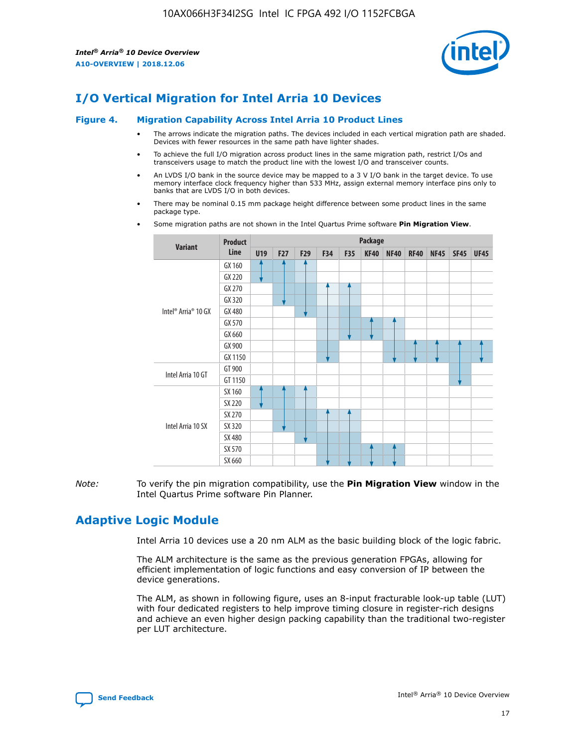

# **I/O Vertical Migration for Intel Arria 10 Devices**

#### **Figure 4. Migration Capability Across Intel Arria 10 Product Lines**

- The arrows indicate the migration paths. The devices included in each vertical migration path are shaded. Devices with fewer resources in the same path have lighter shades.
- To achieve the full I/O migration across product lines in the same migration path, restrict I/Os and transceivers usage to match the product line with the lowest I/O and transceiver counts.
- An LVDS I/O bank in the source device may be mapped to a 3 V I/O bank in the target device. To use memory interface clock frequency higher than 533 MHz, assign external memory interface pins only to banks that are LVDS I/O in both devices.
- There may be nominal 0.15 mm package height difference between some product lines in the same package type.
	- **Variant Product Line Package U19 F27 F29 F34 F35 KF40 NF40 RF40 NF45 SF45 UF45** Intel® Arria® 10 GX GX 160 GX 220 GX 270 GX 320 GX 480 GX 570 GX 660 GX 900 GX 1150 Intel Arria 10 GT GT 900 GT 1150 Intel Arria 10 SX SX 160 SX 220 SX 270 SX 320 SX 480 SX 570 SX 660
- Some migration paths are not shown in the Intel Quartus Prime software **Pin Migration View**.

*Note:* To verify the pin migration compatibility, use the **Pin Migration View** window in the Intel Quartus Prime software Pin Planner.

# **Adaptive Logic Module**

Intel Arria 10 devices use a 20 nm ALM as the basic building block of the logic fabric.

The ALM architecture is the same as the previous generation FPGAs, allowing for efficient implementation of logic functions and easy conversion of IP between the device generations.

The ALM, as shown in following figure, uses an 8-input fracturable look-up table (LUT) with four dedicated registers to help improve timing closure in register-rich designs and achieve an even higher design packing capability than the traditional two-register per LUT architecture.

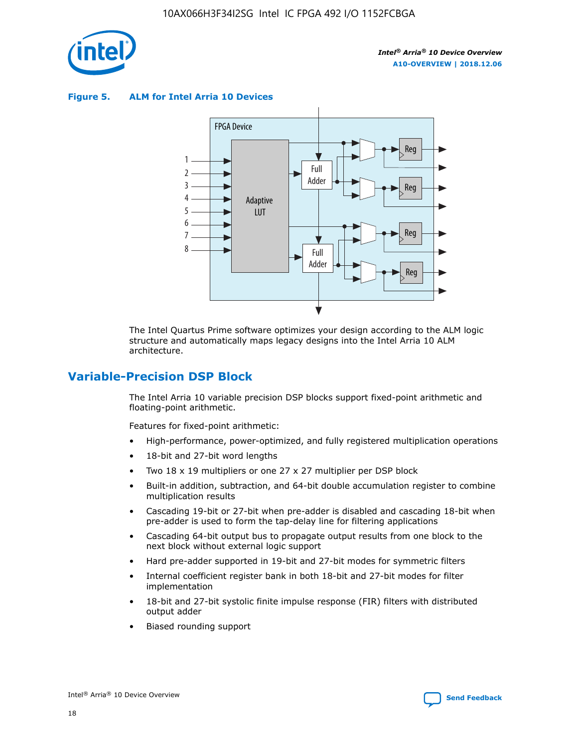

**Figure 5. ALM for Intel Arria 10 Devices**



The Intel Quartus Prime software optimizes your design according to the ALM logic structure and automatically maps legacy designs into the Intel Arria 10 ALM architecture.

## **Variable-Precision DSP Block**

The Intel Arria 10 variable precision DSP blocks support fixed-point arithmetic and floating-point arithmetic.

Features for fixed-point arithmetic:

- High-performance, power-optimized, and fully registered multiplication operations
- 18-bit and 27-bit word lengths
- Two 18 x 19 multipliers or one 27 x 27 multiplier per DSP block
- Built-in addition, subtraction, and 64-bit double accumulation register to combine multiplication results
- Cascading 19-bit or 27-bit when pre-adder is disabled and cascading 18-bit when pre-adder is used to form the tap-delay line for filtering applications
- Cascading 64-bit output bus to propagate output results from one block to the next block without external logic support
- Hard pre-adder supported in 19-bit and 27-bit modes for symmetric filters
- Internal coefficient register bank in both 18-bit and 27-bit modes for filter implementation
- 18-bit and 27-bit systolic finite impulse response (FIR) filters with distributed output adder
- Biased rounding support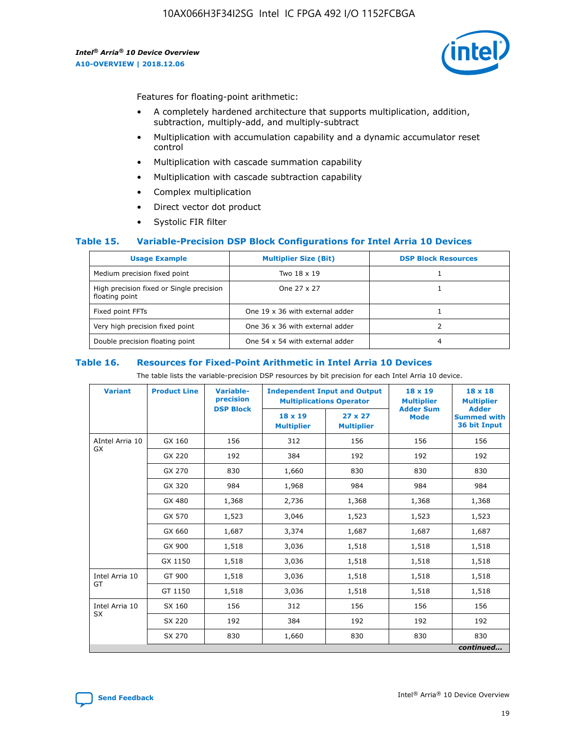

Features for floating-point arithmetic:

- A completely hardened architecture that supports multiplication, addition, subtraction, multiply-add, and multiply-subtract
- Multiplication with accumulation capability and a dynamic accumulator reset control
- Multiplication with cascade summation capability
- Multiplication with cascade subtraction capability
- Complex multiplication
- Direct vector dot product
- Systolic FIR filter

### **Table 15. Variable-Precision DSP Block Configurations for Intel Arria 10 Devices**

| <b>Usage Example</b>                                       | <b>Multiplier Size (Bit)</b>    | <b>DSP Block Resources</b> |
|------------------------------------------------------------|---------------------------------|----------------------------|
| Medium precision fixed point                               | Two 18 x 19                     |                            |
| High precision fixed or Single precision<br>floating point | One 27 x 27                     |                            |
| Fixed point FFTs                                           | One 19 x 36 with external adder |                            |
| Very high precision fixed point                            | One 36 x 36 with external adder |                            |
| Double precision floating point                            | One 54 x 54 with external adder | 4                          |

#### **Table 16. Resources for Fixed-Point Arithmetic in Intel Arria 10 Devices**

The table lists the variable-precision DSP resources by bit precision for each Intel Arria 10 device.

| <b>Variant</b>  | <b>Product Line</b> | Variable-<br>precision<br><b>DSP Block</b> | <b>Independent Input and Output</b><br><b>Multiplications Operator</b> |                                     | 18 x 19<br><b>Multiplier</b><br><b>Adder Sum</b> | $18 \times 18$<br><b>Multiplier</b><br><b>Adder</b> |
|-----------------|---------------------|--------------------------------------------|------------------------------------------------------------------------|-------------------------------------|--------------------------------------------------|-----------------------------------------------------|
|                 |                     |                                            | 18 x 19<br><b>Multiplier</b>                                           | $27 \times 27$<br><b>Multiplier</b> | <b>Mode</b>                                      | <b>Summed with</b><br>36 bit Input                  |
| AIntel Arria 10 | GX 160              | 156                                        | 312                                                                    | 156                                 | 156                                              | 156                                                 |
| GX              | GX 220              | 192                                        | 384                                                                    | 192                                 | 192                                              | 192                                                 |
|                 | GX 270              | 830                                        | 1,660                                                                  | 830                                 | 830                                              | 830                                                 |
|                 | GX 320              | 984                                        | 1,968                                                                  | 984                                 | 984                                              | 984                                                 |
|                 | GX 480              | 1,368                                      | 2,736                                                                  | 1,368                               | 1,368                                            | 1,368                                               |
|                 | GX 570              | 1,523                                      | 3,046                                                                  | 1,523                               | 1,523                                            | 1,523                                               |
|                 | GX 660              | 1,687                                      | 3,374                                                                  | 1,687                               | 1,687                                            | 1,687                                               |
|                 | GX 900              | 1,518                                      | 3,036                                                                  | 1,518                               | 1,518                                            | 1,518                                               |
|                 | GX 1150             | 1,518                                      | 3,036                                                                  | 1,518                               | 1,518                                            | 1,518                                               |
| Intel Arria 10  | GT 900              | 1,518                                      | 3,036                                                                  | 1,518                               | 1,518                                            | 1,518                                               |
| GT              | GT 1150             | 1,518                                      | 3,036                                                                  | 1,518                               | 1,518                                            | 1,518                                               |
| Intel Arria 10  | SX 160              | 156                                        | 312                                                                    | 156                                 | 156                                              | 156                                                 |
| <b>SX</b>       | SX 220              | 192                                        | 384                                                                    | 192                                 | 192                                              | 192                                                 |
|                 | SX 270              | 830                                        | 1,660                                                                  | 830                                 | 830                                              | 830                                                 |
|                 |                     |                                            |                                                                        |                                     |                                                  | continued                                           |

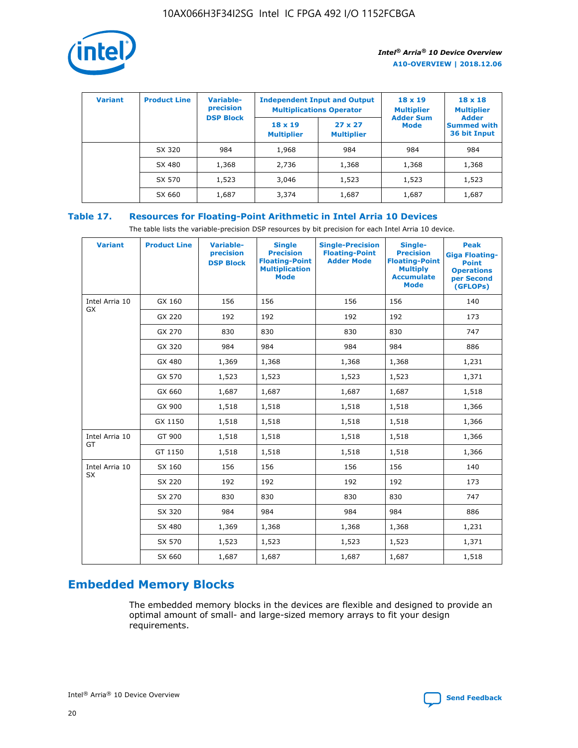

| <b>Variant</b> | <b>Product Line</b> | <b>Variable-</b><br>precision<br><b>DSP Block</b> | <b>Independent Input and Output</b><br><b>Multiplications Operator</b> |                                     | $18 \times 19$<br><b>Multiplier</b><br><b>Adder Sum</b> | $18 \times 18$<br><b>Multiplier</b><br><b>Adder</b> |  |
|----------------|---------------------|---------------------------------------------------|------------------------------------------------------------------------|-------------------------------------|---------------------------------------------------------|-----------------------------------------------------|--|
|                |                     |                                                   | $18 \times 19$<br><b>Multiplier</b>                                    | $27 \times 27$<br><b>Multiplier</b> | <b>Mode</b>                                             | <b>Summed with</b><br>36 bit Input                  |  |
|                | SX 320              | 984                                               | 1,968                                                                  | 984                                 | 984                                                     | 984                                                 |  |
|                | SX 480              | 1,368                                             | 2,736                                                                  | 1,368                               | 1,368                                                   | 1,368                                               |  |
|                | SX 570              | 1,523                                             | 3,046                                                                  | 1,523                               | 1,523                                                   | 1,523                                               |  |
|                | SX 660              | 1,687                                             | 3,374                                                                  | 1,687                               | 1,687                                                   | 1,687                                               |  |

## **Table 17. Resources for Floating-Point Arithmetic in Intel Arria 10 Devices**

The table lists the variable-precision DSP resources by bit precision for each Intel Arria 10 device.

| <b>Variant</b>              | <b>Product Line</b> | <b>Variable-</b><br>precision<br><b>DSP Block</b> | <b>Single</b><br><b>Precision</b><br><b>Floating-Point</b><br><b>Multiplication</b><br><b>Mode</b> | <b>Single-Precision</b><br><b>Floating-Point</b><br><b>Adder Mode</b> | Single-<br><b>Precision</b><br><b>Floating-Point</b><br><b>Multiply</b><br><b>Accumulate</b><br><b>Mode</b> | <b>Peak</b><br><b>Giga Floating-</b><br><b>Point</b><br><b>Operations</b><br>per Second<br>(GFLOPs) |
|-----------------------------|---------------------|---------------------------------------------------|----------------------------------------------------------------------------------------------------|-----------------------------------------------------------------------|-------------------------------------------------------------------------------------------------------------|-----------------------------------------------------------------------------------------------------|
| Intel Arria 10<br>GX        | GX 160              | 156                                               | 156                                                                                                | 156                                                                   | 156                                                                                                         | 140                                                                                                 |
|                             | GX 220              | 192                                               | 192                                                                                                | 192                                                                   | 192                                                                                                         | 173                                                                                                 |
|                             | GX 270              | 830                                               | 830                                                                                                | 830                                                                   | 830                                                                                                         | 747                                                                                                 |
|                             | GX 320              | 984                                               | 984                                                                                                | 984                                                                   | 984                                                                                                         | 886                                                                                                 |
|                             | GX 480              | 1,369                                             | 1,368                                                                                              | 1,368                                                                 | 1,368                                                                                                       | 1,231                                                                                               |
|                             | GX 570              | 1,523                                             | 1,523                                                                                              | 1,523                                                                 | 1,523                                                                                                       | 1,371                                                                                               |
|                             | GX 660              | 1,687                                             | 1,687                                                                                              | 1,687                                                                 | 1,687                                                                                                       | 1,518                                                                                               |
|                             | GX 900              | 1,518                                             | 1,518                                                                                              | 1,518                                                                 | 1,518                                                                                                       | 1,366                                                                                               |
|                             | GX 1150             | 1,518                                             | 1,518                                                                                              | 1,518                                                                 | 1,518                                                                                                       | 1,366                                                                                               |
| Intel Arria 10              | GT 900              | 1,518                                             | 1,518                                                                                              | 1,518                                                                 | 1,518                                                                                                       | 1,366                                                                                               |
| GT                          | GT 1150             | 1,518                                             | 1,518                                                                                              | 1,518                                                                 | 1,518                                                                                                       | 1,366                                                                                               |
| Intel Arria 10<br><b>SX</b> | SX 160              | 156                                               | 156                                                                                                | 156                                                                   | 156                                                                                                         | 140                                                                                                 |
|                             | SX 220              | 192                                               | 192                                                                                                | 192                                                                   | 192                                                                                                         | 173                                                                                                 |
|                             | SX 270              | 830                                               | 830                                                                                                | 830                                                                   | 830                                                                                                         | 747                                                                                                 |
|                             | SX 320              | 984                                               | 984                                                                                                | 984                                                                   | 984                                                                                                         | 886                                                                                                 |
|                             | SX 480              | 1,369                                             | 1,368                                                                                              | 1,368                                                                 | 1,368                                                                                                       | 1,231                                                                                               |
|                             | SX 570              | 1,523                                             | 1,523                                                                                              | 1,523                                                                 | 1,523                                                                                                       | 1,371                                                                                               |
|                             | SX 660              | 1,687                                             | 1,687                                                                                              | 1,687                                                                 | 1,687                                                                                                       | 1,518                                                                                               |

# **Embedded Memory Blocks**

The embedded memory blocks in the devices are flexible and designed to provide an optimal amount of small- and large-sized memory arrays to fit your design requirements.

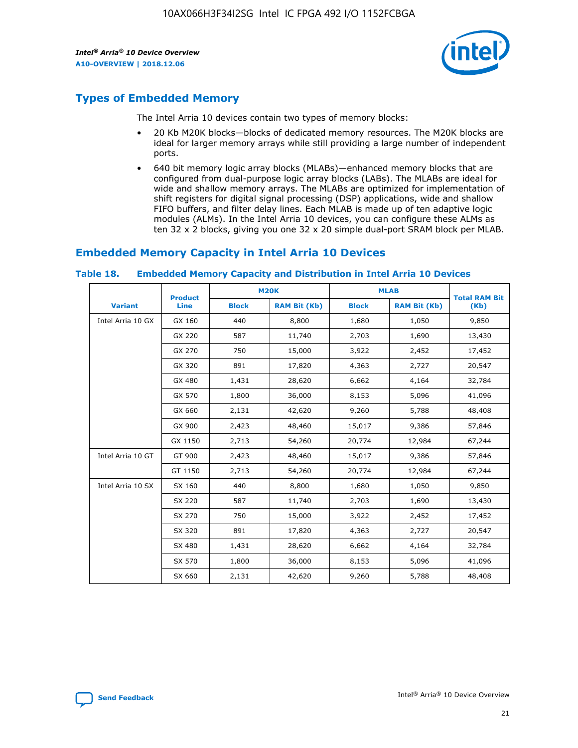

## **Types of Embedded Memory**

The Intel Arria 10 devices contain two types of memory blocks:

- 20 Kb M20K blocks—blocks of dedicated memory resources. The M20K blocks are ideal for larger memory arrays while still providing a large number of independent ports.
- 640 bit memory logic array blocks (MLABs)—enhanced memory blocks that are configured from dual-purpose logic array blocks (LABs). The MLABs are ideal for wide and shallow memory arrays. The MLABs are optimized for implementation of shift registers for digital signal processing (DSP) applications, wide and shallow FIFO buffers, and filter delay lines. Each MLAB is made up of ten adaptive logic modules (ALMs). In the Intel Arria 10 devices, you can configure these ALMs as ten 32 x 2 blocks, giving you one 32 x 20 simple dual-port SRAM block per MLAB.

## **Embedded Memory Capacity in Intel Arria 10 Devices**

|                   | <b>Product</b> |              | <b>M20K</b>         | <b>MLAB</b>  |                     | <b>Total RAM Bit</b> |
|-------------------|----------------|--------------|---------------------|--------------|---------------------|----------------------|
| <b>Variant</b>    | Line           | <b>Block</b> | <b>RAM Bit (Kb)</b> | <b>Block</b> | <b>RAM Bit (Kb)</b> | (Kb)                 |
| Intel Arria 10 GX | GX 160         | 440          | 8,800               | 1,680        | 1,050               | 9,850                |
|                   | GX 220         | 587          | 11,740              | 2,703        | 1,690               | 13,430               |
|                   | GX 270         | 750          | 15,000              | 3,922        | 2,452               | 17,452               |
|                   | GX 320         | 891          | 17,820              | 4,363        | 2,727               | 20,547               |
|                   | GX 480         | 1,431        | 28,620              | 6,662        | 4,164               | 32,784               |
|                   | GX 570         | 1,800        | 36,000              | 8,153        | 5,096               | 41,096               |
|                   | GX 660         | 2,131        | 42,620              | 9,260        | 5,788               | 48,408               |
|                   | GX 900         | 2,423        | 48,460              | 15,017       | 9,386               | 57,846               |
|                   | GX 1150        | 2,713        | 54,260              | 20,774       | 12,984              | 67,244               |
| Intel Arria 10 GT | GT 900         | 2,423        | 48,460              | 15,017       | 9,386               | 57,846               |
|                   | GT 1150        | 2,713        | 54,260              | 20,774       | 12,984              | 67,244               |
| Intel Arria 10 SX | SX 160         | 440          | 8,800               | 1,680        | 1,050               | 9,850                |
|                   | SX 220         | 587          | 11,740              | 2,703        | 1,690               | 13,430               |
|                   | SX 270         | 750          | 15,000              | 3,922        | 2,452               | 17,452               |
|                   | SX 320         | 891          | 17,820              | 4,363        | 2,727               | 20,547               |
|                   | SX 480         | 1,431        | 28,620              | 6,662        | 4,164               | 32,784               |
|                   | SX 570         | 1,800        | 36,000              | 8,153        | 5,096               | 41,096               |
|                   | SX 660         | 2,131        | 42,620              | 9,260        | 5,788               | 48,408               |

#### **Table 18. Embedded Memory Capacity and Distribution in Intel Arria 10 Devices**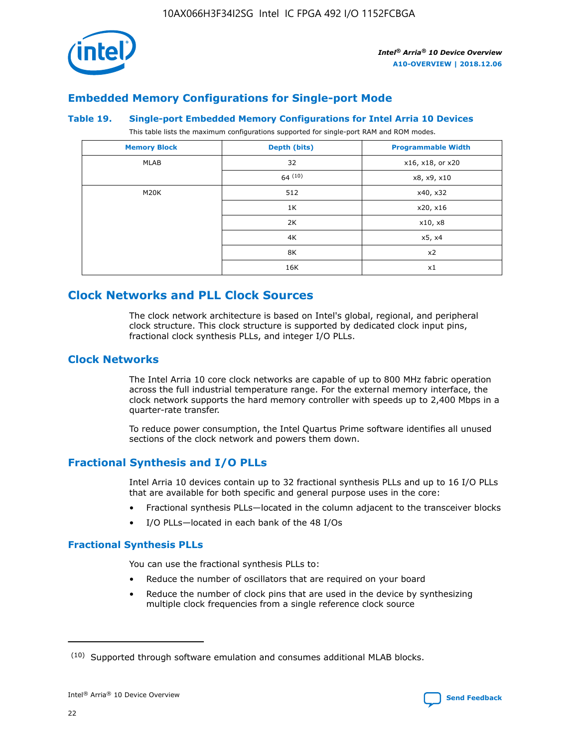

## **Embedded Memory Configurations for Single-port Mode**

#### **Table 19. Single-port Embedded Memory Configurations for Intel Arria 10 Devices**

This table lists the maximum configurations supported for single-port RAM and ROM modes.

| <b>Memory Block</b> | Depth (bits) | <b>Programmable Width</b> |
|---------------------|--------------|---------------------------|
| MLAB                | 32           | x16, x18, or x20          |
|                     | 64(10)       | x8, x9, x10               |
| M20K                | 512          | x40, x32                  |
|                     | 1K           | x20, x16                  |
|                     | 2K           | x10, x8                   |
|                     | 4K           | x5, x4                    |
|                     | 8K           | x2                        |
|                     | 16K          | x1                        |

# **Clock Networks and PLL Clock Sources**

The clock network architecture is based on Intel's global, regional, and peripheral clock structure. This clock structure is supported by dedicated clock input pins, fractional clock synthesis PLLs, and integer I/O PLLs.

## **Clock Networks**

The Intel Arria 10 core clock networks are capable of up to 800 MHz fabric operation across the full industrial temperature range. For the external memory interface, the clock network supports the hard memory controller with speeds up to 2,400 Mbps in a quarter-rate transfer.

To reduce power consumption, the Intel Quartus Prime software identifies all unused sections of the clock network and powers them down.

## **Fractional Synthesis and I/O PLLs**

Intel Arria 10 devices contain up to 32 fractional synthesis PLLs and up to 16 I/O PLLs that are available for both specific and general purpose uses in the core:

- Fractional synthesis PLLs—located in the column adjacent to the transceiver blocks
- I/O PLLs—located in each bank of the 48 I/Os

## **Fractional Synthesis PLLs**

You can use the fractional synthesis PLLs to:

- Reduce the number of oscillators that are required on your board
- Reduce the number of clock pins that are used in the device by synthesizing multiple clock frequencies from a single reference clock source

<sup>(10)</sup> Supported through software emulation and consumes additional MLAB blocks.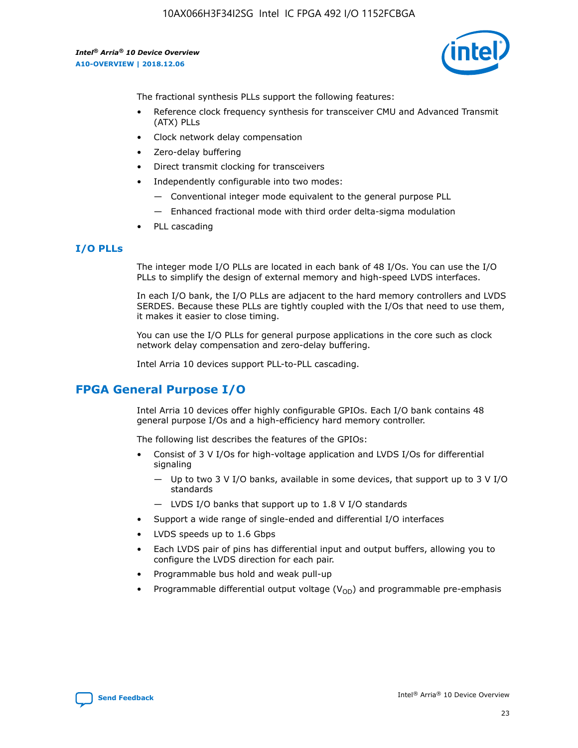

The fractional synthesis PLLs support the following features:

- Reference clock frequency synthesis for transceiver CMU and Advanced Transmit (ATX) PLLs
- Clock network delay compensation
- Zero-delay buffering
- Direct transmit clocking for transceivers
- Independently configurable into two modes:
	- Conventional integer mode equivalent to the general purpose PLL
	- Enhanced fractional mode with third order delta-sigma modulation
- PLL cascading

### **I/O PLLs**

The integer mode I/O PLLs are located in each bank of 48 I/Os. You can use the I/O PLLs to simplify the design of external memory and high-speed LVDS interfaces.

In each I/O bank, the I/O PLLs are adjacent to the hard memory controllers and LVDS SERDES. Because these PLLs are tightly coupled with the I/Os that need to use them, it makes it easier to close timing.

You can use the I/O PLLs for general purpose applications in the core such as clock network delay compensation and zero-delay buffering.

Intel Arria 10 devices support PLL-to-PLL cascading.

# **FPGA General Purpose I/O**

Intel Arria 10 devices offer highly configurable GPIOs. Each I/O bank contains 48 general purpose I/Os and a high-efficiency hard memory controller.

The following list describes the features of the GPIOs:

- Consist of 3 V I/Os for high-voltage application and LVDS I/Os for differential signaling
	- Up to two 3 V I/O banks, available in some devices, that support up to 3 V I/O standards
	- LVDS I/O banks that support up to 1.8 V I/O standards
- Support a wide range of single-ended and differential I/O interfaces
- LVDS speeds up to 1.6 Gbps
- Each LVDS pair of pins has differential input and output buffers, allowing you to configure the LVDS direction for each pair.
- Programmable bus hold and weak pull-up
- Programmable differential output voltage  $(V_{OD})$  and programmable pre-emphasis

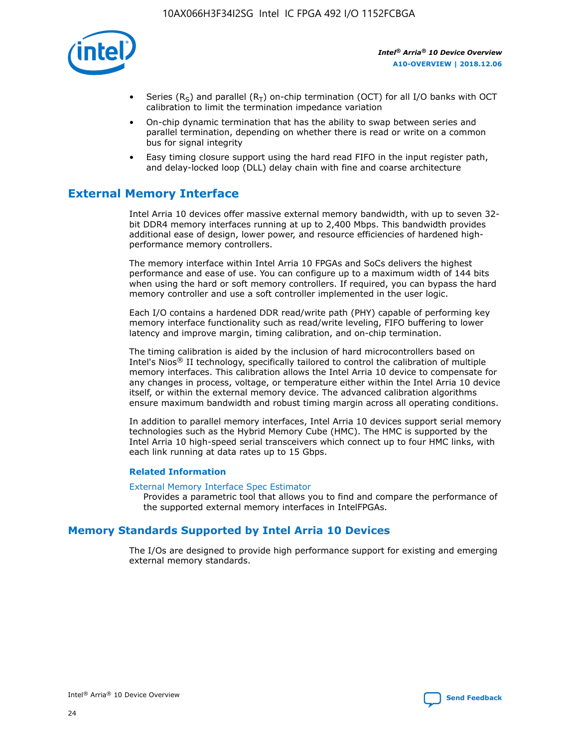

- Series (R<sub>S</sub>) and parallel (R<sub>T</sub>) on-chip termination (OCT) for all I/O banks with OCT calibration to limit the termination impedance variation
- On-chip dynamic termination that has the ability to swap between series and parallel termination, depending on whether there is read or write on a common bus for signal integrity
- Easy timing closure support using the hard read FIFO in the input register path, and delay-locked loop (DLL) delay chain with fine and coarse architecture

# **External Memory Interface**

Intel Arria 10 devices offer massive external memory bandwidth, with up to seven 32 bit DDR4 memory interfaces running at up to 2,400 Mbps. This bandwidth provides additional ease of design, lower power, and resource efficiencies of hardened highperformance memory controllers.

The memory interface within Intel Arria 10 FPGAs and SoCs delivers the highest performance and ease of use. You can configure up to a maximum width of 144 bits when using the hard or soft memory controllers. If required, you can bypass the hard memory controller and use a soft controller implemented in the user logic.

Each I/O contains a hardened DDR read/write path (PHY) capable of performing key memory interface functionality such as read/write leveling, FIFO buffering to lower latency and improve margin, timing calibration, and on-chip termination.

The timing calibration is aided by the inclusion of hard microcontrollers based on Intel's Nios® II technology, specifically tailored to control the calibration of multiple memory interfaces. This calibration allows the Intel Arria 10 device to compensate for any changes in process, voltage, or temperature either within the Intel Arria 10 device itself, or within the external memory device. The advanced calibration algorithms ensure maximum bandwidth and robust timing margin across all operating conditions.

In addition to parallel memory interfaces, Intel Arria 10 devices support serial memory technologies such as the Hybrid Memory Cube (HMC). The HMC is supported by the Intel Arria 10 high-speed serial transceivers which connect up to four HMC links, with each link running at data rates up to 15 Gbps.

### **Related Information**

#### [External Memory Interface Spec Estimator](http://www.altera.com/technology/memory/estimator/mem-emif-index.html)

Provides a parametric tool that allows you to find and compare the performance of the supported external memory interfaces in IntelFPGAs.

## **Memory Standards Supported by Intel Arria 10 Devices**

The I/Os are designed to provide high performance support for existing and emerging external memory standards.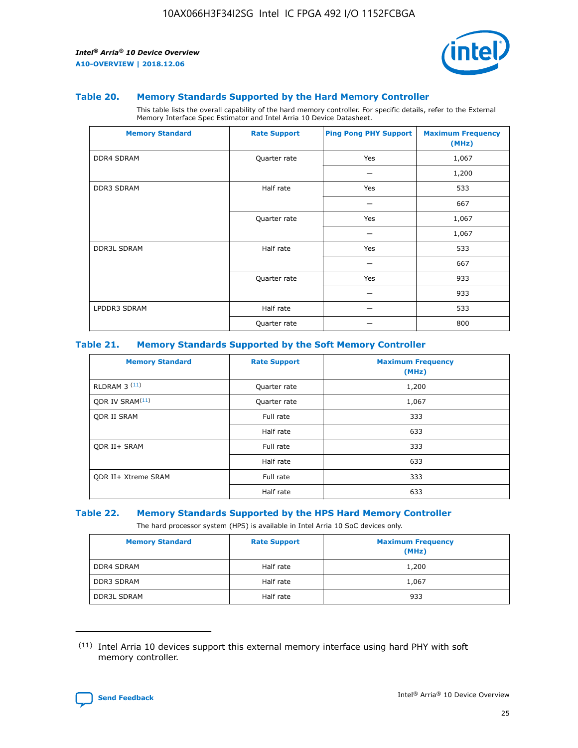

#### **Table 20. Memory Standards Supported by the Hard Memory Controller**

This table lists the overall capability of the hard memory controller. For specific details, refer to the External Memory Interface Spec Estimator and Intel Arria 10 Device Datasheet.

| <b>Memory Standard</b> | <b>Rate Support</b> | <b>Ping Pong PHY Support</b> | <b>Maximum Frequency</b><br>(MHz) |
|------------------------|---------------------|------------------------------|-----------------------------------|
| <b>DDR4 SDRAM</b>      | Quarter rate        | Yes                          | 1,067                             |
|                        |                     |                              | 1,200                             |
| DDR3 SDRAM             | Half rate           | Yes                          | 533                               |
|                        |                     |                              | 667                               |
|                        | Quarter rate        | Yes                          | 1,067                             |
|                        |                     |                              | 1,067                             |
| <b>DDR3L SDRAM</b>     | Half rate           | Yes                          | 533                               |
|                        |                     |                              | 667                               |
|                        | Quarter rate        | Yes                          | 933                               |
|                        |                     |                              | 933                               |
| LPDDR3 SDRAM           | Half rate           |                              | 533                               |
|                        | Quarter rate        |                              | 800                               |

#### **Table 21. Memory Standards Supported by the Soft Memory Controller**

| <b>Memory Standard</b>      | <b>Rate Support</b> | <b>Maximum Frequency</b><br>(MHz) |
|-----------------------------|---------------------|-----------------------------------|
| <b>RLDRAM 3 (11)</b>        | Quarter rate        | 1,200                             |
| ODR IV SRAM <sup>(11)</sup> | Quarter rate        | 1,067                             |
| <b>ODR II SRAM</b>          | Full rate           | 333                               |
|                             | Half rate           | 633                               |
| <b>ODR II+ SRAM</b>         | Full rate           | 333                               |
|                             | Half rate           | 633                               |
| <b>ODR II+ Xtreme SRAM</b>  | Full rate           | 333                               |
|                             | Half rate           | 633                               |

#### **Table 22. Memory Standards Supported by the HPS Hard Memory Controller**

The hard processor system (HPS) is available in Intel Arria 10 SoC devices only.

| <b>Memory Standard</b> | <b>Rate Support</b> | <b>Maximum Frequency</b><br>(MHz) |
|------------------------|---------------------|-----------------------------------|
| <b>DDR4 SDRAM</b>      | Half rate           | 1,200                             |
| <b>DDR3 SDRAM</b>      | Half rate           | 1,067                             |
| <b>DDR3L SDRAM</b>     | Half rate           | 933                               |

<sup>(11)</sup> Intel Arria 10 devices support this external memory interface using hard PHY with soft memory controller.

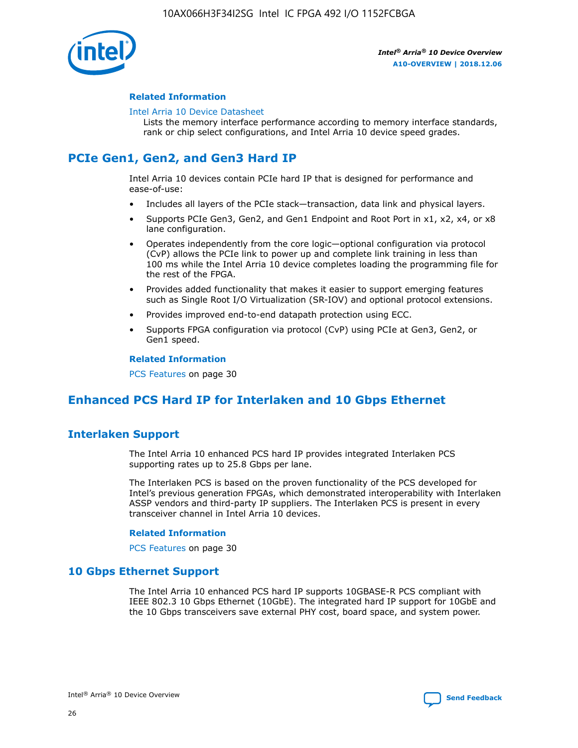

### **Related Information**

#### [Intel Arria 10 Device Datasheet](https://www.intel.com/content/www/us/en/programmable/documentation/mcn1413182292568.html#mcn1413182153340)

Lists the memory interface performance according to memory interface standards, rank or chip select configurations, and Intel Arria 10 device speed grades.

# **PCIe Gen1, Gen2, and Gen3 Hard IP**

Intel Arria 10 devices contain PCIe hard IP that is designed for performance and ease-of-use:

- Includes all layers of the PCIe stack—transaction, data link and physical layers.
- Supports PCIe Gen3, Gen2, and Gen1 Endpoint and Root Port in x1, x2, x4, or x8 lane configuration.
- Operates independently from the core logic—optional configuration via protocol (CvP) allows the PCIe link to power up and complete link training in less than 100 ms while the Intel Arria 10 device completes loading the programming file for the rest of the FPGA.
- Provides added functionality that makes it easier to support emerging features such as Single Root I/O Virtualization (SR-IOV) and optional protocol extensions.
- Provides improved end-to-end datapath protection using ECC.
- Supports FPGA configuration via protocol (CvP) using PCIe at Gen3, Gen2, or Gen1 speed.

#### **Related Information**

PCS Features on page 30

# **Enhanced PCS Hard IP for Interlaken and 10 Gbps Ethernet**

## **Interlaken Support**

The Intel Arria 10 enhanced PCS hard IP provides integrated Interlaken PCS supporting rates up to 25.8 Gbps per lane.

The Interlaken PCS is based on the proven functionality of the PCS developed for Intel's previous generation FPGAs, which demonstrated interoperability with Interlaken ASSP vendors and third-party IP suppliers. The Interlaken PCS is present in every transceiver channel in Intel Arria 10 devices.

### **Related Information**

PCS Features on page 30

## **10 Gbps Ethernet Support**

The Intel Arria 10 enhanced PCS hard IP supports 10GBASE-R PCS compliant with IEEE 802.3 10 Gbps Ethernet (10GbE). The integrated hard IP support for 10GbE and the 10 Gbps transceivers save external PHY cost, board space, and system power.

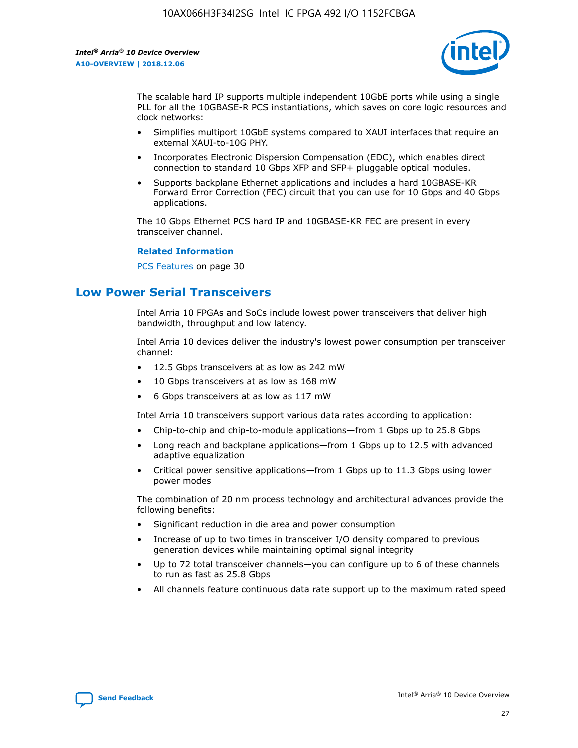

The scalable hard IP supports multiple independent 10GbE ports while using a single PLL for all the 10GBASE-R PCS instantiations, which saves on core logic resources and clock networks:

- Simplifies multiport 10GbE systems compared to XAUI interfaces that require an external XAUI-to-10G PHY.
- Incorporates Electronic Dispersion Compensation (EDC), which enables direct connection to standard 10 Gbps XFP and SFP+ pluggable optical modules.
- Supports backplane Ethernet applications and includes a hard 10GBASE-KR Forward Error Correction (FEC) circuit that you can use for 10 Gbps and 40 Gbps applications.

The 10 Gbps Ethernet PCS hard IP and 10GBASE-KR FEC are present in every transceiver channel.

#### **Related Information**

PCS Features on page 30

# **Low Power Serial Transceivers**

Intel Arria 10 FPGAs and SoCs include lowest power transceivers that deliver high bandwidth, throughput and low latency.

Intel Arria 10 devices deliver the industry's lowest power consumption per transceiver channel:

- 12.5 Gbps transceivers at as low as 242 mW
- 10 Gbps transceivers at as low as 168 mW
- 6 Gbps transceivers at as low as 117 mW

Intel Arria 10 transceivers support various data rates according to application:

- Chip-to-chip and chip-to-module applications—from 1 Gbps up to 25.8 Gbps
- Long reach and backplane applications—from 1 Gbps up to 12.5 with advanced adaptive equalization
- Critical power sensitive applications—from 1 Gbps up to 11.3 Gbps using lower power modes

The combination of 20 nm process technology and architectural advances provide the following benefits:

- Significant reduction in die area and power consumption
- Increase of up to two times in transceiver I/O density compared to previous generation devices while maintaining optimal signal integrity
- Up to 72 total transceiver channels—you can configure up to 6 of these channels to run as fast as 25.8 Gbps
- All channels feature continuous data rate support up to the maximum rated speed

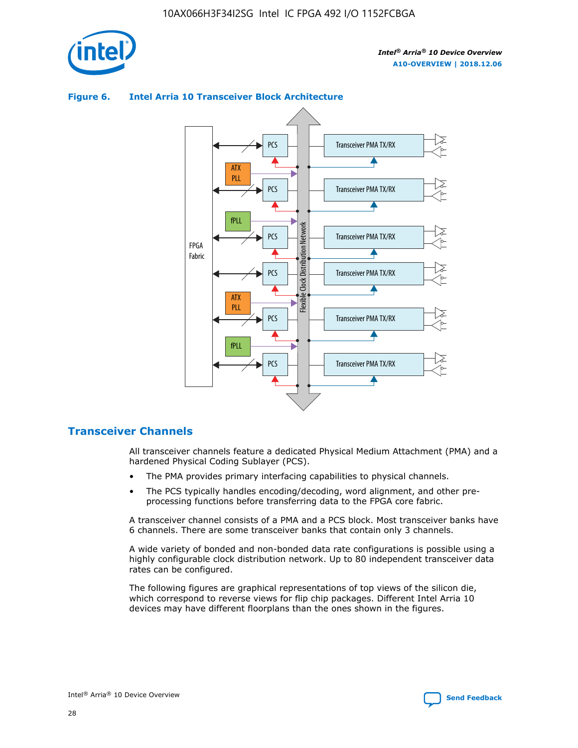



## **Figure 6. Intel Arria 10 Transceiver Block Architecture**

## **Transceiver Channels**

All transceiver channels feature a dedicated Physical Medium Attachment (PMA) and a hardened Physical Coding Sublayer (PCS).

- The PMA provides primary interfacing capabilities to physical channels.
- The PCS typically handles encoding/decoding, word alignment, and other preprocessing functions before transferring data to the FPGA core fabric.

A transceiver channel consists of a PMA and a PCS block. Most transceiver banks have 6 channels. There are some transceiver banks that contain only 3 channels.

A wide variety of bonded and non-bonded data rate configurations is possible using a highly configurable clock distribution network. Up to 80 independent transceiver data rates can be configured.

The following figures are graphical representations of top views of the silicon die, which correspond to reverse views for flip chip packages. Different Intel Arria 10 devices may have different floorplans than the ones shown in the figures.

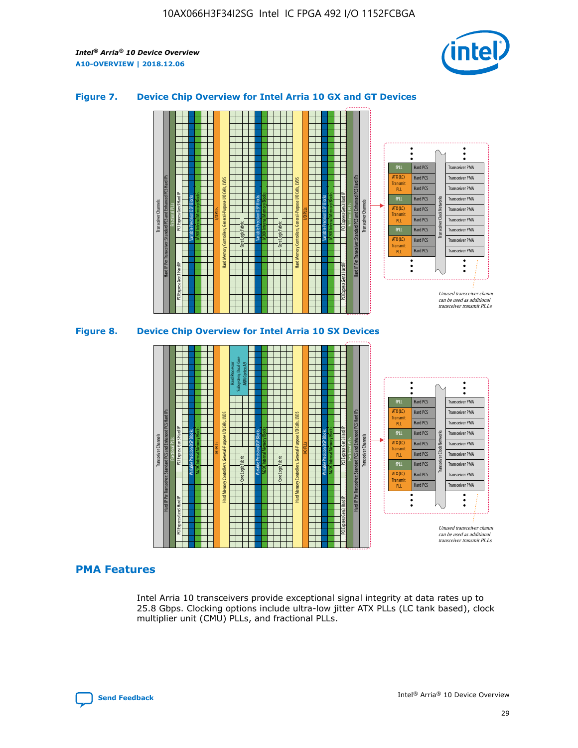

## **Figure 7. Device Chip Overview for Intel Arria 10 GX and GT Devices**



M20K Internal Memory Blocks Core Logic Fabric Transceiver Channels Hard IP Per Transceiver: Standard PCS and Enhanced PCS Hard IPs PCI Express Gen3 Hard IP Fractional PLLs M20K Internal Memory Blocks PCI Express Gen3 Hard IP Variable Precision DSP Blocks I/O PLLs Hard Memory Controllers, General-Purpose I/O Cells, LVDS Hard Processor Subsystem, Dual-Core ARM Cortex A9 M20K Internal Memory Blocks Variable Precision DSP Blocks M20K Internal Memory Blocks Core Logic Fabric I/O PLLs Hard Memory Controllers, General-Purpose I/O Cells, LVDS M20K Internal Memory Blocks Variable Precision DSP Blocks M20K Internal Memory Blocks Transceiver Channels Hard IP Per Transceiver: Standard PCS and Enhanced PCS Hard IPs PCI Express Gen3 Hard IP Fractional PLLs PCI Express Gen3 Hard IP  $\ddot{\cdot}$ Hard PCS Transceiver PMA fPLL ATX (LC) Hard PCS Transceiver PMA **Transmit** Hard PCS Transceiver PMA PLL fPLL Hard PCS Transceiver PMA Transceiver Clock Networks ATX (LC) Hard PCS Transceiver PMA Transmi Hard PCS Transceiver PMA PLL fPLL Hard PCS Transceiver PMA Transceiver PMA Hard PCS ATX (LC) **Transmit** Hard PCS Transceiver PMA PLL Unused transceiver chann can be used as additional transceiver transmit PLLs

## **PMA Features**

Intel Arria 10 transceivers provide exceptional signal integrity at data rates up to 25.8 Gbps. Clocking options include ultra-low jitter ATX PLLs (LC tank based), clock multiplier unit (CMU) PLLs, and fractional PLLs.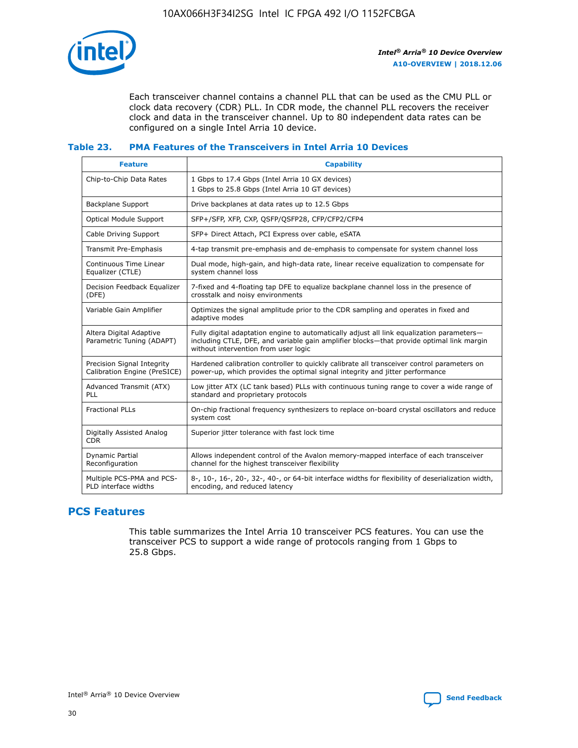

Each transceiver channel contains a channel PLL that can be used as the CMU PLL or clock data recovery (CDR) PLL. In CDR mode, the channel PLL recovers the receiver clock and data in the transceiver channel. Up to 80 independent data rates can be configured on a single Intel Arria 10 device.

## **Table 23. PMA Features of the Transceivers in Intel Arria 10 Devices**

| <b>Feature</b>                                             | <b>Capability</b>                                                                                                                                                                                                             |
|------------------------------------------------------------|-------------------------------------------------------------------------------------------------------------------------------------------------------------------------------------------------------------------------------|
| Chip-to-Chip Data Rates                                    | 1 Gbps to 17.4 Gbps (Intel Arria 10 GX devices)<br>1 Gbps to 25.8 Gbps (Intel Arria 10 GT devices)                                                                                                                            |
| <b>Backplane Support</b>                                   | Drive backplanes at data rates up to 12.5 Gbps                                                                                                                                                                                |
| <b>Optical Module Support</b>                              | SFP+/SFP, XFP, CXP, QSFP/QSFP28, CFP/CFP2/CFP4                                                                                                                                                                                |
| Cable Driving Support                                      | SFP+ Direct Attach, PCI Express over cable, eSATA                                                                                                                                                                             |
| Transmit Pre-Emphasis                                      | 4-tap transmit pre-emphasis and de-emphasis to compensate for system channel loss                                                                                                                                             |
| Continuous Time Linear<br>Equalizer (CTLE)                 | Dual mode, high-gain, and high-data rate, linear receive equalization to compensate for<br>system channel loss                                                                                                                |
| Decision Feedback Equalizer<br>(DFE)                       | 7-fixed and 4-floating tap DFE to equalize backplane channel loss in the presence of<br>crosstalk and noisy environments                                                                                                      |
| Variable Gain Amplifier                                    | Optimizes the signal amplitude prior to the CDR sampling and operates in fixed and<br>adaptive modes                                                                                                                          |
| Altera Digital Adaptive<br>Parametric Tuning (ADAPT)       | Fully digital adaptation engine to automatically adjust all link equalization parameters-<br>including CTLE, DFE, and variable gain amplifier blocks—that provide optimal link margin<br>without intervention from user logic |
| Precision Signal Integrity<br>Calibration Engine (PreSICE) | Hardened calibration controller to quickly calibrate all transceiver control parameters on<br>power-up, which provides the optimal signal integrity and jitter performance                                                    |
| Advanced Transmit (ATX)<br><b>PLL</b>                      | Low jitter ATX (LC tank based) PLLs with continuous tuning range to cover a wide range of<br>standard and proprietary protocols                                                                                               |
| <b>Fractional PLLs</b>                                     | On-chip fractional frequency synthesizers to replace on-board crystal oscillators and reduce<br>system cost                                                                                                                   |
| Digitally Assisted Analog<br><b>CDR</b>                    | Superior jitter tolerance with fast lock time                                                                                                                                                                                 |
| Dynamic Partial<br>Reconfiguration                         | Allows independent control of the Avalon memory-mapped interface of each transceiver<br>channel for the highest transceiver flexibility                                                                                       |
| Multiple PCS-PMA and PCS-<br>PLD interface widths          | 8-, 10-, 16-, 20-, 32-, 40-, or 64-bit interface widths for flexibility of deserialization width,<br>encoding, and reduced latency                                                                                            |

## **PCS Features**

This table summarizes the Intel Arria 10 transceiver PCS features. You can use the transceiver PCS to support a wide range of protocols ranging from 1 Gbps to 25.8 Gbps.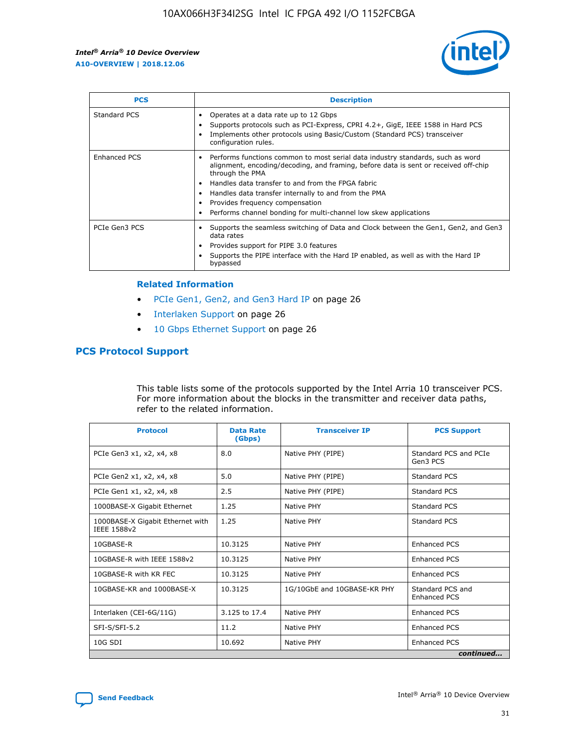

| <b>PCS</b>    | <b>Description</b>                                                                                                                                                                                                                                                                                                                                                                                             |
|---------------|----------------------------------------------------------------------------------------------------------------------------------------------------------------------------------------------------------------------------------------------------------------------------------------------------------------------------------------------------------------------------------------------------------------|
| Standard PCS  | Operates at a data rate up to 12 Gbps<br>Supports protocols such as PCI-Express, CPRI 4.2+, GigE, IEEE 1588 in Hard PCS<br>Implements other protocols using Basic/Custom (Standard PCS) transceiver<br>configuration rules.                                                                                                                                                                                    |
| Enhanced PCS  | Performs functions common to most serial data industry standards, such as word<br>alignment, encoding/decoding, and framing, before data is sent or received off-chip<br>through the PMA<br>• Handles data transfer to and from the FPGA fabric<br>Handles data transfer internally to and from the PMA<br>Provides frequency compensation<br>Performs channel bonding for multi-channel low skew applications |
| PCIe Gen3 PCS | Supports the seamless switching of Data and Clock between the Gen1, Gen2, and Gen3<br>data rates<br>Provides support for PIPE 3.0 features<br>Supports the PIPE interface with the Hard IP enabled, as well as with the Hard IP<br>bypassed                                                                                                                                                                    |

#### **Related Information**

- PCIe Gen1, Gen2, and Gen3 Hard IP on page 26
- Interlaken Support on page 26
- 10 Gbps Ethernet Support on page 26

## **PCS Protocol Support**

This table lists some of the protocols supported by the Intel Arria 10 transceiver PCS. For more information about the blocks in the transmitter and receiver data paths, refer to the related information.

| <b>Protocol</b>                                 | <b>Data Rate</b><br>(Gbps) | <b>Transceiver IP</b>       | <b>PCS Support</b>                      |
|-------------------------------------------------|----------------------------|-----------------------------|-----------------------------------------|
| PCIe Gen3 x1, x2, x4, x8                        | 8.0                        | Native PHY (PIPE)           | Standard PCS and PCIe<br>Gen3 PCS       |
| PCIe Gen2 x1, x2, x4, x8                        | 5.0                        | Native PHY (PIPE)           | <b>Standard PCS</b>                     |
| PCIe Gen1 x1, x2, x4, x8                        | 2.5                        | Native PHY (PIPE)           | Standard PCS                            |
| 1000BASE-X Gigabit Ethernet                     | 1.25                       | Native PHY                  | <b>Standard PCS</b>                     |
| 1000BASE-X Gigabit Ethernet with<br>IEEE 1588v2 | 1.25                       | Native PHY                  | Standard PCS                            |
| 10GBASE-R                                       | 10.3125                    | Native PHY                  | <b>Enhanced PCS</b>                     |
| 10GBASE-R with IEEE 1588v2                      | 10.3125                    | Native PHY                  | <b>Enhanced PCS</b>                     |
| 10GBASE-R with KR FEC                           | 10.3125                    | Native PHY                  | <b>Enhanced PCS</b>                     |
| 10GBASE-KR and 1000BASE-X                       | 10.3125                    | 1G/10GbE and 10GBASE-KR PHY | Standard PCS and<br><b>Enhanced PCS</b> |
| Interlaken (CEI-6G/11G)                         | 3.125 to 17.4              | Native PHY                  | <b>Enhanced PCS</b>                     |
| SFI-S/SFI-5.2                                   | 11.2                       | Native PHY                  | <b>Enhanced PCS</b>                     |
| $10G$ SDI                                       | 10.692                     | Native PHY                  | <b>Enhanced PCS</b>                     |
|                                                 |                            |                             | continued                               |

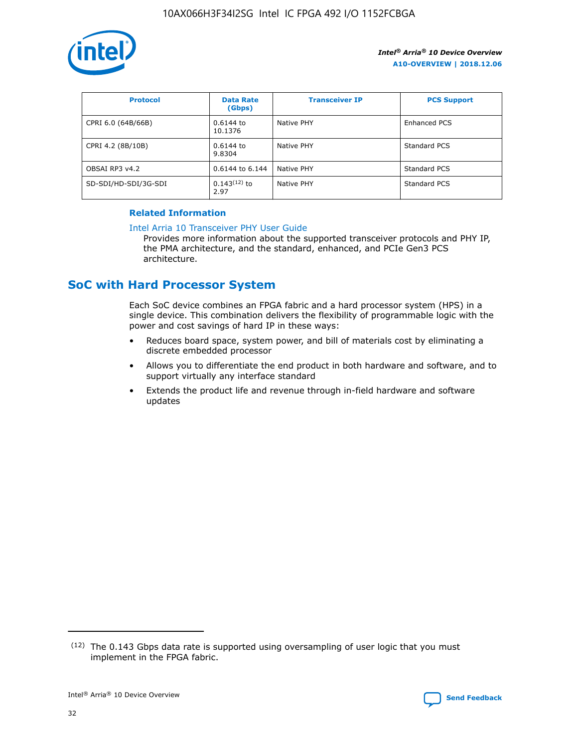

| <b>Protocol</b>      | <b>Data Rate</b><br>(Gbps) | <b>Transceiver IP</b> | <b>PCS Support</b> |
|----------------------|----------------------------|-----------------------|--------------------|
| CPRI 6.0 (64B/66B)   | 0.6144 to<br>10.1376       | Native PHY            | Enhanced PCS       |
| CPRI 4.2 (8B/10B)    | $0.6144$ to<br>9.8304      | Native PHY            | Standard PCS       |
| OBSAI RP3 v4.2       | 0.6144 to 6.144            | Native PHY            | Standard PCS       |
| SD-SDI/HD-SDI/3G-SDI | $0.143(12)$ to<br>2.97     | Native PHY            | Standard PCS       |

## **Related Information**

#### [Intel Arria 10 Transceiver PHY User Guide](https://www.intel.com/content/www/us/en/programmable/documentation/nik1398707230472.html#nik1398707091164)

Provides more information about the supported transceiver protocols and PHY IP, the PMA architecture, and the standard, enhanced, and PCIe Gen3 PCS architecture.

# **SoC with Hard Processor System**

Each SoC device combines an FPGA fabric and a hard processor system (HPS) in a single device. This combination delivers the flexibility of programmable logic with the power and cost savings of hard IP in these ways:

- Reduces board space, system power, and bill of materials cost by eliminating a discrete embedded processor
- Allows you to differentiate the end product in both hardware and software, and to support virtually any interface standard
- Extends the product life and revenue through in-field hardware and software updates

 $(12)$  The 0.143 Gbps data rate is supported using oversampling of user logic that you must implement in the FPGA fabric.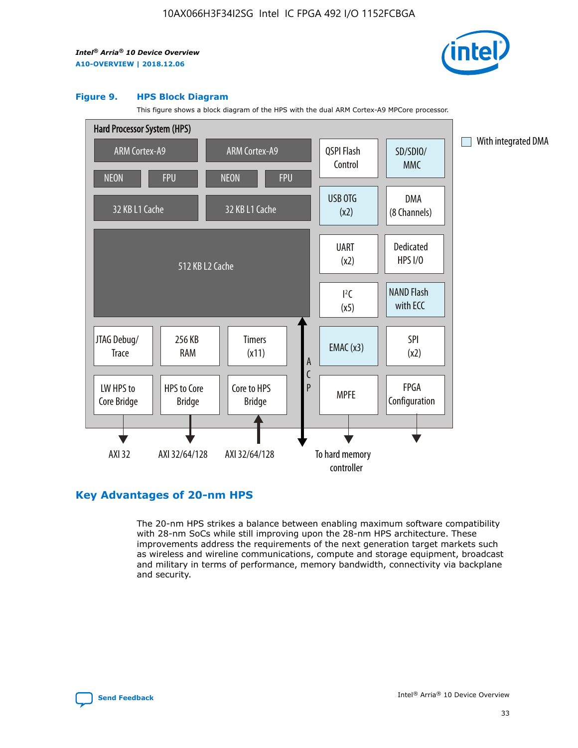

#### **Figure 9. HPS Block Diagram**

This figure shows a block diagram of the HPS with the dual ARM Cortex-A9 MPCore processor.



## **Key Advantages of 20-nm HPS**

The 20-nm HPS strikes a balance between enabling maximum software compatibility with 28-nm SoCs while still improving upon the 28-nm HPS architecture. These improvements address the requirements of the next generation target markets such as wireless and wireline communications, compute and storage equipment, broadcast and military in terms of performance, memory bandwidth, connectivity via backplane and security.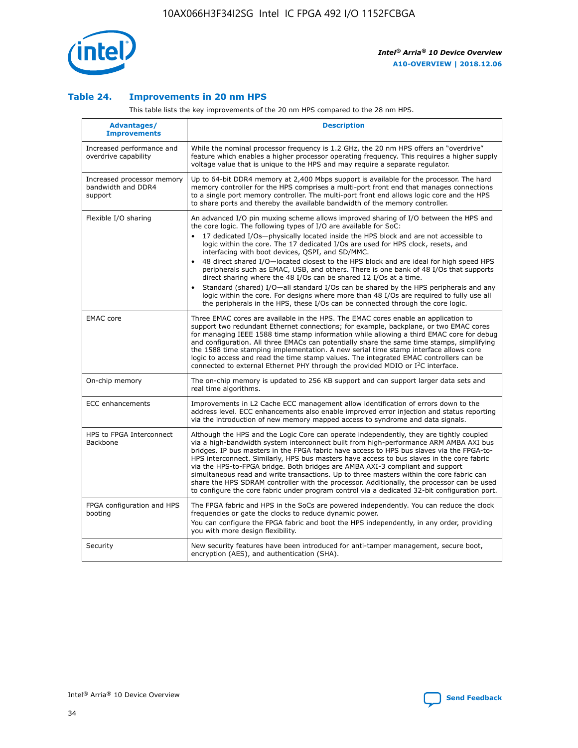

## **Table 24. Improvements in 20 nm HPS**

This table lists the key improvements of the 20 nm HPS compared to the 28 nm HPS.

| <b>Advantages/</b><br><b>Improvements</b>                   | <b>Description</b>                                                                                                                                                                                                                                                                                                                                                                                                                                                                                                                                                                                                                                                                                                                                                                                                                                                                                                      |
|-------------------------------------------------------------|-------------------------------------------------------------------------------------------------------------------------------------------------------------------------------------------------------------------------------------------------------------------------------------------------------------------------------------------------------------------------------------------------------------------------------------------------------------------------------------------------------------------------------------------------------------------------------------------------------------------------------------------------------------------------------------------------------------------------------------------------------------------------------------------------------------------------------------------------------------------------------------------------------------------------|
| Increased performance and<br>overdrive capability           | While the nominal processor frequency is 1.2 GHz, the 20 nm HPS offers an "overdrive"<br>feature which enables a higher processor operating frequency. This requires a higher supply<br>voltage value that is unique to the HPS and may require a separate regulator.                                                                                                                                                                                                                                                                                                                                                                                                                                                                                                                                                                                                                                                   |
| Increased processor memory<br>bandwidth and DDR4<br>support | Up to 64-bit DDR4 memory at 2,400 Mbps support is available for the processor. The hard<br>memory controller for the HPS comprises a multi-port front end that manages connections<br>to a single port memory controller. The multi-port front end allows logic core and the HPS<br>to share ports and thereby the available bandwidth of the memory controller.                                                                                                                                                                                                                                                                                                                                                                                                                                                                                                                                                        |
| Flexible I/O sharing                                        | An advanced I/O pin muxing scheme allows improved sharing of I/O between the HPS and<br>the core logic. The following types of I/O are available for SoC:<br>17 dedicated I/Os-physically located inside the HPS block and are not accessible to<br>logic within the core. The 17 dedicated I/Os are used for HPS clock, resets, and<br>interfacing with boot devices, QSPI, and SD/MMC.<br>48 direct shared I/O-located closest to the HPS block and are ideal for high speed HPS<br>peripherals such as EMAC, USB, and others. There is one bank of 48 I/Os that supports<br>direct sharing where the 48 I/Os can be shared 12 I/Os at a time.<br>Standard (shared) I/O-all standard I/Os can be shared by the HPS peripherals and any<br>logic within the core. For designs where more than 48 I/Os are required to fully use all<br>the peripherals in the HPS, these I/Os can be connected through the core logic. |
| <b>EMAC</b> core                                            | Three EMAC cores are available in the HPS. The EMAC cores enable an application to<br>support two redundant Ethernet connections; for example, backplane, or two EMAC cores<br>for managing IEEE 1588 time stamp information while allowing a third EMAC core for debug<br>and configuration. All three EMACs can potentially share the same time stamps, simplifying<br>the 1588 time stamping implementation. A new serial time stamp interface allows core<br>logic to access and read the time stamp values. The integrated EMAC controllers can be<br>connected to external Ethernet PHY through the provided MDIO or I <sup>2</sup> C interface.                                                                                                                                                                                                                                                                  |
| On-chip memory                                              | The on-chip memory is updated to 256 KB support and can support larger data sets and<br>real time algorithms.                                                                                                                                                                                                                                                                                                                                                                                                                                                                                                                                                                                                                                                                                                                                                                                                           |
| <b>ECC</b> enhancements                                     | Improvements in L2 Cache ECC management allow identification of errors down to the<br>address level. ECC enhancements also enable improved error injection and status reporting<br>via the introduction of new memory mapped access to syndrome and data signals.                                                                                                                                                                                                                                                                                                                                                                                                                                                                                                                                                                                                                                                       |
| HPS to FPGA Interconnect<br>Backbone                        | Although the HPS and the Logic Core can operate independently, they are tightly coupled<br>via a high-bandwidth system interconnect built from high-performance ARM AMBA AXI bus<br>bridges. IP bus masters in the FPGA fabric have access to HPS bus slaves via the FPGA-to-<br>HPS interconnect. Similarly, HPS bus masters have access to bus slaves in the core fabric<br>via the HPS-to-FPGA bridge. Both bridges are AMBA AXI-3 compliant and support<br>simultaneous read and write transactions. Up to three masters within the core fabric can<br>share the HPS SDRAM controller with the processor. Additionally, the processor can be used<br>to configure the core fabric under program control via a dedicated 32-bit configuration port.                                                                                                                                                                  |
| FPGA configuration and HPS<br>booting                       | The FPGA fabric and HPS in the SoCs are powered independently. You can reduce the clock<br>frequencies or gate the clocks to reduce dynamic power.<br>You can configure the FPGA fabric and boot the HPS independently, in any order, providing<br>you with more design flexibility.                                                                                                                                                                                                                                                                                                                                                                                                                                                                                                                                                                                                                                    |
| Security                                                    | New security features have been introduced for anti-tamper management, secure boot,<br>encryption (AES), and authentication (SHA).                                                                                                                                                                                                                                                                                                                                                                                                                                                                                                                                                                                                                                                                                                                                                                                      |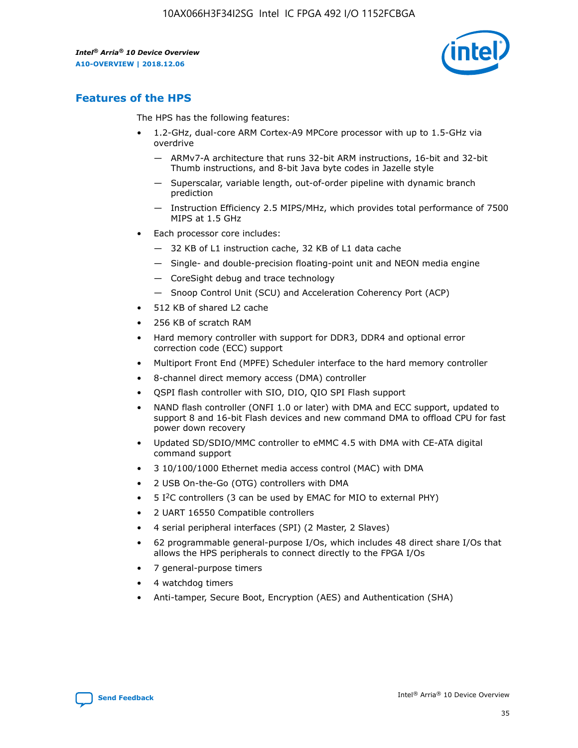

## **Features of the HPS**

The HPS has the following features:

- 1.2-GHz, dual-core ARM Cortex-A9 MPCore processor with up to 1.5-GHz via overdrive
	- ARMv7-A architecture that runs 32-bit ARM instructions, 16-bit and 32-bit Thumb instructions, and 8-bit Java byte codes in Jazelle style
	- Superscalar, variable length, out-of-order pipeline with dynamic branch prediction
	- Instruction Efficiency 2.5 MIPS/MHz, which provides total performance of 7500 MIPS at 1.5 GHz
- Each processor core includes:
	- 32 KB of L1 instruction cache, 32 KB of L1 data cache
	- Single- and double-precision floating-point unit and NEON media engine
	- CoreSight debug and trace technology
	- Snoop Control Unit (SCU) and Acceleration Coherency Port (ACP)
- 512 KB of shared L2 cache
- 256 KB of scratch RAM
- Hard memory controller with support for DDR3, DDR4 and optional error correction code (ECC) support
- Multiport Front End (MPFE) Scheduler interface to the hard memory controller
- 8-channel direct memory access (DMA) controller
- QSPI flash controller with SIO, DIO, QIO SPI Flash support
- NAND flash controller (ONFI 1.0 or later) with DMA and ECC support, updated to support 8 and 16-bit Flash devices and new command DMA to offload CPU for fast power down recovery
- Updated SD/SDIO/MMC controller to eMMC 4.5 with DMA with CE-ATA digital command support
- 3 10/100/1000 Ethernet media access control (MAC) with DMA
- 2 USB On-the-Go (OTG) controllers with DMA
- $\bullet$  5 I<sup>2</sup>C controllers (3 can be used by EMAC for MIO to external PHY)
- 2 UART 16550 Compatible controllers
- 4 serial peripheral interfaces (SPI) (2 Master, 2 Slaves)
- 62 programmable general-purpose I/Os, which includes 48 direct share I/Os that allows the HPS peripherals to connect directly to the FPGA I/Os
- 7 general-purpose timers
- 4 watchdog timers
- Anti-tamper, Secure Boot, Encryption (AES) and Authentication (SHA)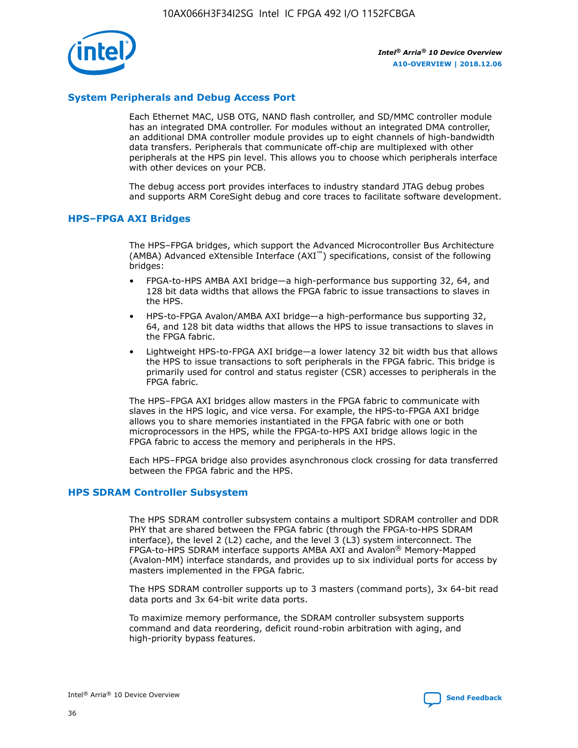

## **System Peripherals and Debug Access Port**

Each Ethernet MAC, USB OTG, NAND flash controller, and SD/MMC controller module has an integrated DMA controller. For modules without an integrated DMA controller, an additional DMA controller module provides up to eight channels of high-bandwidth data transfers. Peripherals that communicate off-chip are multiplexed with other peripherals at the HPS pin level. This allows you to choose which peripherals interface with other devices on your PCB.

The debug access port provides interfaces to industry standard JTAG debug probes and supports ARM CoreSight debug and core traces to facilitate software development.

## **HPS–FPGA AXI Bridges**

The HPS–FPGA bridges, which support the Advanced Microcontroller Bus Architecture (AMBA) Advanced eXtensible Interface (AXI™) specifications, consist of the following bridges:

- FPGA-to-HPS AMBA AXI bridge—a high-performance bus supporting 32, 64, and 128 bit data widths that allows the FPGA fabric to issue transactions to slaves in the HPS.
- HPS-to-FPGA Avalon/AMBA AXI bridge—a high-performance bus supporting 32, 64, and 128 bit data widths that allows the HPS to issue transactions to slaves in the FPGA fabric.
- Lightweight HPS-to-FPGA AXI bridge—a lower latency 32 bit width bus that allows the HPS to issue transactions to soft peripherals in the FPGA fabric. This bridge is primarily used for control and status register (CSR) accesses to peripherals in the FPGA fabric.

The HPS–FPGA AXI bridges allow masters in the FPGA fabric to communicate with slaves in the HPS logic, and vice versa. For example, the HPS-to-FPGA AXI bridge allows you to share memories instantiated in the FPGA fabric with one or both microprocessors in the HPS, while the FPGA-to-HPS AXI bridge allows logic in the FPGA fabric to access the memory and peripherals in the HPS.

Each HPS–FPGA bridge also provides asynchronous clock crossing for data transferred between the FPGA fabric and the HPS.

### **HPS SDRAM Controller Subsystem**

The HPS SDRAM controller subsystem contains a multiport SDRAM controller and DDR PHY that are shared between the FPGA fabric (through the FPGA-to-HPS SDRAM interface), the level 2 (L2) cache, and the level 3 (L3) system interconnect. The FPGA-to-HPS SDRAM interface supports AMBA AXI and Avalon® Memory-Mapped (Avalon-MM) interface standards, and provides up to six individual ports for access by masters implemented in the FPGA fabric.

The HPS SDRAM controller supports up to 3 masters (command ports), 3x 64-bit read data ports and 3x 64-bit write data ports.

To maximize memory performance, the SDRAM controller subsystem supports command and data reordering, deficit round-robin arbitration with aging, and high-priority bypass features.

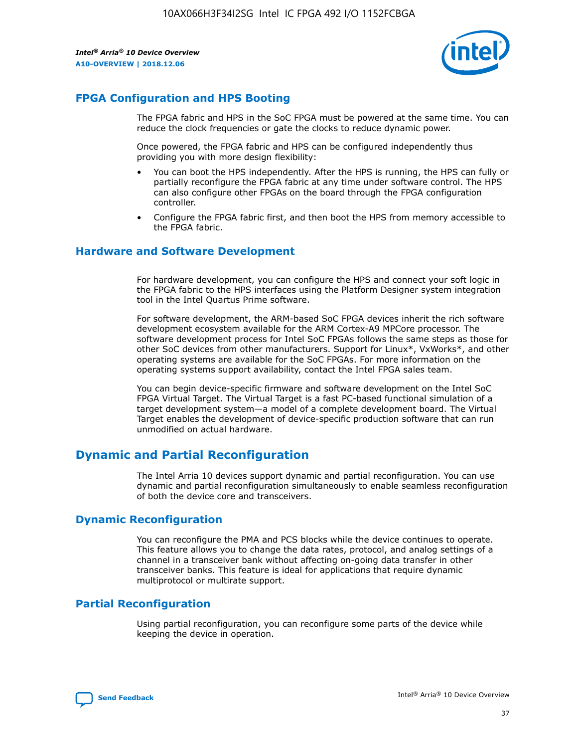

## **FPGA Configuration and HPS Booting**

The FPGA fabric and HPS in the SoC FPGA must be powered at the same time. You can reduce the clock frequencies or gate the clocks to reduce dynamic power.

Once powered, the FPGA fabric and HPS can be configured independently thus providing you with more design flexibility:

- You can boot the HPS independently. After the HPS is running, the HPS can fully or partially reconfigure the FPGA fabric at any time under software control. The HPS can also configure other FPGAs on the board through the FPGA configuration controller.
- Configure the FPGA fabric first, and then boot the HPS from memory accessible to the FPGA fabric.

## **Hardware and Software Development**

For hardware development, you can configure the HPS and connect your soft logic in the FPGA fabric to the HPS interfaces using the Platform Designer system integration tool in the Intel Quartus Prime software.

For software development, the ARM-based SoC FPGA devices inherit the rich software development ecosystem available for the ARM Cortex-A9 MPCore processor. The software development process for Intel SoC FPGAs follows the same steps as those for other SoC devices from other manufacturers. Support for Linux\*, VxWorks\*, and other operating systems are available for the SoC FPGAs. For more information on the operating systems support availability, contact the Intel FPGA sales team.

You can begin device-specific firmware and software development on the Intel SoC FPGA Virtual Target. The Virtual Target is a fast PC-based functional simulation of a target development system—a model of a complete development board. The Virtual Target enables the development of device-specific production software that can run unmodified on actual hardware.

## **Dynamic and Partial Reconfiguration**

The Intel Arria 10 devices support dynamic and partial reconfiguration. You can use dynamic and partial reconfiguration simultaneously to enable seamless reconfiguration of both the device core and transceivers.

## **Dynamic Reconfiguration**

You can reconfigure the PMA and PCS blocks while the device continues to operate. This feature allows you to change the data rates, protocol, and analog settings of a channel in a transceiver bank without affecting on-going data transfer in other transceiver banks. This feature is ideal for applications that require dynamic multiprotocol or multirate support.

## **Partial Reconfiguration**

Using partial reconfiguration, you can reconfigure some parts of the device while keeping the device in operation.

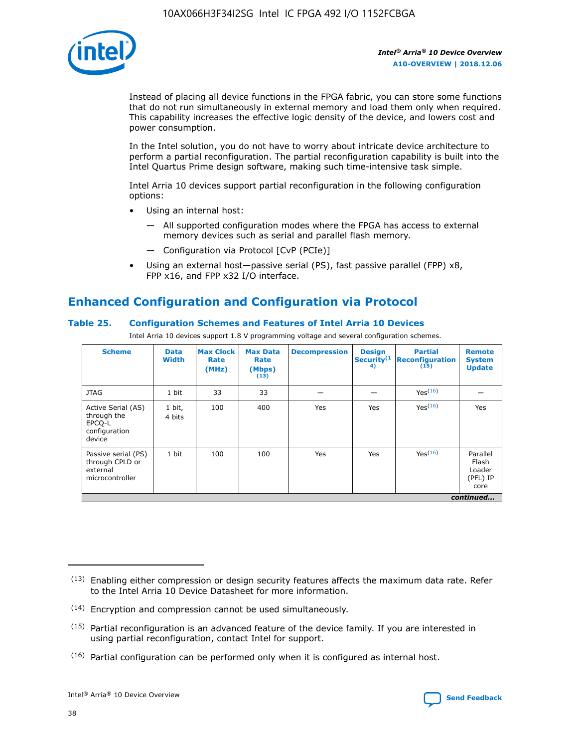

Instead of placing all device functions in the FPGA fabric, you can store some functions that do not run simultaneously in external memory and load them only when required. This capability increases the effective logic density of the device, and lowers cost and power consumption.

In the Intel solution, you do not have to worry about intricate device architecture to perform a partial reconfiguration. The partial reconfiguration capability is built into the Intel Quartus Prime design software, making such time-intensive task simple.

Intel Arria 10 devices support partial reconfiguration in the following configuration options:

- Using an internal host:
	- All supported configuration modes where the FPGA has access to external memory devices such as serial and parallel flash memory.
	- Configuration via Protocol [CvP (PCIe)]
- Using an external host—passive serial (PS), fast passive parallel (FPP) x8, FPP x16, and FPP x32 I/O interface.

# **Enhanced Configuration and Configuration via Protocol**

## **Table 25. Configuration Schemes and Features of Intel Arria 10 Devices**

Intel Arria 10 devices support 1.8 V programming voltage and several configuration schemes.

| <b>Scheme</b>                                                          | <b>Data</b><br><b>Width</b> | <b>Max Clock</b><br>Rate<br>(MHz) | <b>Max Data</b><br>Rate<br>(Mbps)<br>(13) | <b>Decompression</b> | <b>Design</b><br>Security <sup>(1</sup><br>4) | <b>Partial</b><br><b>Reconfiguration</b><br>(15) | <b>Remote</b><br><b>System</b><br><b>Update</b> |
|------------------------------------------------------------------------|-----------------------------|-----------------------------------|-------------------------------------------|----------------------|-----------------------------------------------|--------------------------------------------------|-------------------------------------------------|
| <b>JTAG</b>                                                            | 1 bit                       | 33                                | 33                                        |                      |                                               | Yes(16)                                          |                                                 |
| Active Serial (AS)<br>through the<br>EPCO-L<br>configuration<br>device | 1 bit,<br>4 bits            | 100                               | 400                                       | Yes                  | Yes                                           | $Y_{PS}(16)$                                     | Yes                                             |
| Passive serial (PS)<br>through CPLD or<br>external<br>microcontroller  | 1 bit                       | 100                               | 100                                       | Yes                  | Yes                                           | Yes(16)                                          | Parallel<br>Flash<br>Loader<br>(PFL) IP<br>core |
|                                                                        |                             |                                   |                                           |                      |                                               |                                                  | continued                                       |

<sup>(13)</sup> Enabling either compression or design security features affects the maximum data rate. Refer to the Intel Arria 10 Device Datasheet for more information.

<sup>(14)</sup> Encryption and compression cannot be used simultaneously.

 $<sup>(15)</sup>$  Partial reconfiguration is an advanced feature of the device family. If you are interested in</sup> using partial reconfiguration, contact Intel for support.

 $(16)$  Partial configuration can be performed only when it is configured as internal host.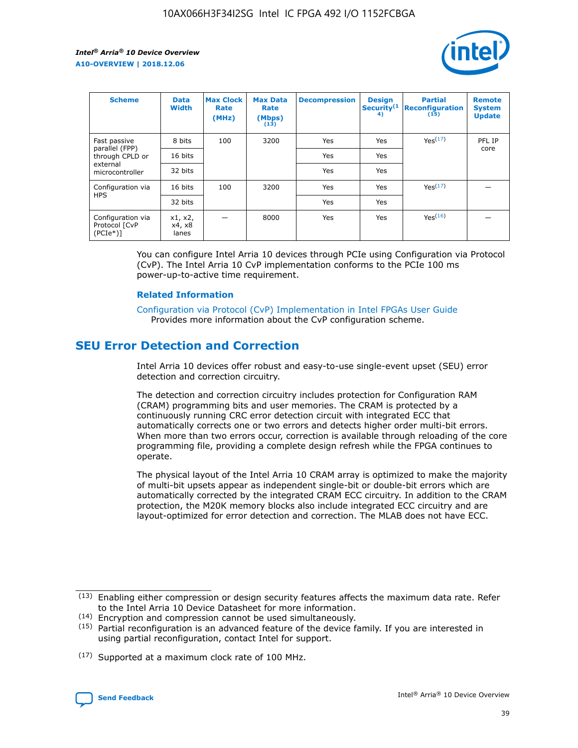

| <b>Scheme</b>                                   | <b>Data</b><br><b>Width</b> | <b>Max Clock</b><br>Rate<br>(MHz) | <b>Max Data</b><br>Rate<br>(Mbps)<br>(13) | <b>Decompression</b> | <b>Design</b><br>Security <sup>(1</sup><br>4) | <b>Partial</b><br><b>Reconfiguration</b><br>(15) | <b>Remote</b><br><b>System</b><br><b>Update</b> |
|-------------------------------------------------|-----------------------------|-----------------------------------|-------------------------------------------|----------------------|-----------------------------------------------|--------------------------------------------------|-------------------------------------------------|
| Fast passive                                    | 8 bits                      | 100                               | 3200                                      | Yes                  | Yes                                           | Yes(17)                                          | PFL IP                                          |
| parallel (FPP)<br>through CPLD or               | 16 bits                     |                                   |                                           | Yes                  | Yes                                           |                                                  | core                                            |
| external<br>microcontroller                     | 32 bits                     |                                   |                                           | Yes                  | Yes                                           |                                                  |                                                 |
| Configuration via                               | 16 bits                     | 100                               | 3200                                      | Yes                  | Yes                                           | Yes <sup>(17)</sup>                              |                                                 |
| <b>HPS</b>                                      | 32 bits                     |                                   |                                           | Yes                  | Yes                                           |                                                  |                                                 |
| Configuration via<br>Protocol [CvP<br>$(PCIe*)$ | x1, x2,<br>x4, x8<br>lanes  |                                   | 8000                                      | Yes                  | Yes                                           | Yes(16)                                          |                                                 |

You can configure Intel Arria 10 devices through PCIe using Configuration via Protocol (CvP). The Intel Arria 10 CvP implementation conforms to the PCIe 100 ms power-up-to-active time requirement.

### **Related Information**

[Configuration via Protocol \(CvP\) Implementation in Intel FPGAs User Guide](https://www.intel.com/content/www/us/en/programmable/documentation/dsu1441819344145.html#dsu1442269728522) Provides more information about the CvP configuration scheme.

# **SEU Error Detection and Correction**

Intel Arria 10 devices offer robust and easy-to-use single-event upset (SEU) error detection and correction circuitry.

The detection and correction circuitry includes protection for Configuration RAM (CRAM) programming bits and user memories. The CRAM is protected by a continuously running CRC error detection circuit with integrated ECC that automatically corrects one or two errors and detects higher order multi-bit errors. When more than two errors occur, correction is available through reloading of the core programming file, providing a complete design refresh while the FPGA continues to operate.

The physical layout of the Intel Arria 10 CRAM array is optimized to make the majority of multi-bit upsets appear as independent single-bit or double-bit errors which are automatically corrected by the integrated CRAM ECC circuitry. In addition to the CRAM protection, the M20K memory blocks also include integrated ECC circuitry and are layout-optimized for error detection and correction. The MLAB does not have ECC.

(14) Encryption and compression cannot be used simultaneously.

<sup>(17)</sup> Supported at a maximum clock rate of 100 MHz.



 $(13)$  Enabling either compression or design security features affects the maximum data rate. Refer to the Intel Arria 10 Device Datasheet for more information.

 $(15)$  Partial reconfiguration is an advanced feature of the device family. If you are interested in using partial reconfiguration, contact Intel for support.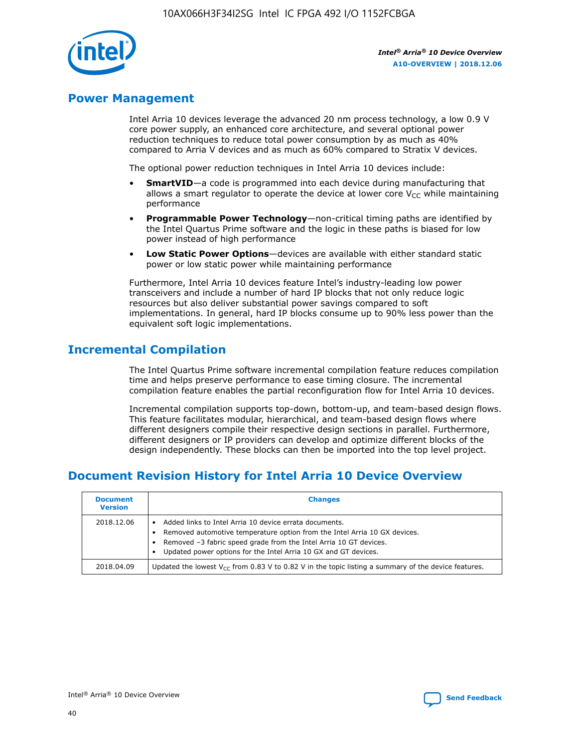

## **Power Management**

Intel Arria 10 devices leverage the advanced 20 nm process technology, a low 0.9 V core power supply, an enhanced core architecture, and several optional power reduction techniques to reduce total power consumption by as much as 40% compared to Arria V devices and as much as 60% compared to Stratix V devices.

The optional power reduction techniques in Intel Arria 10 devices include:

- **SmartVID**—a code is programmed into each device during manufacturing that allows a smart regulator to operate the device at lower core  $V_{CC}$  while maintaining performance
- **Programmable Power Technology**—non-critical timing paths are identified by the Intel Quartus Prime software and the logic in these paths is biased for low power instead of high performance
- **Low Static Power Options**—devices are available with either standard static power or low static power while maintaining performance

Furthermore, Intel Arria 10 devices feature Intel's industry-leading low power transceivers and include a number of hard IP blocks that not only reduce logic resources but also deliver substantial power savings compared to soft implementations. In general, hard IP blocks consume up to 90% less power than the equivalent soft logic implementations.

# **Incremental Compilation**

The Intel Quartus Prime software incremental compilation feature reduces compilation time and helps preserve performance to ease timing closure. The incremental compilation feature enables the partial reconfiguration flow for Intel Arria 10 devices.

Incremental compilation supports top-down, bottom-up, and team-based design flows. This feature facilitates modular, hierarchical, and team-based design flows where different designers compile their respective design sections in parallel. Furthermore, different designers or IP providers can develop and optimize different blocks of the design independently. These blocks can then be imported into the top level project.

# **Document Revision History for Intel Arria 10 Device Overview**

| <b>Document</b><br><b>Version</b> | <b>Changes</b>                                                                                                                                                                                                                                                              |
|-----------------------------------|-----------------------------------------------------------------------------------------------------------------------------------------------------------------------------------------------------------------------------------------------------------------------------|
| 2018.12.06                        | Added links to Intel Arria 10 device errata documents.<br>Removed automotive temperature option from the Intel Arria 10 GX devices.<br>Removed -3 fabric speed grade from the Intel Arria 10 GT devices.<br>Updated power options for the Intel Arria 10 GX and GT devices. |
| 2018.04.09                        | Updated the lowest $V_{CC}$ from 0.83 V to 0.82 V in the topic listing a summary of the device features.                                                                                                                                                                    |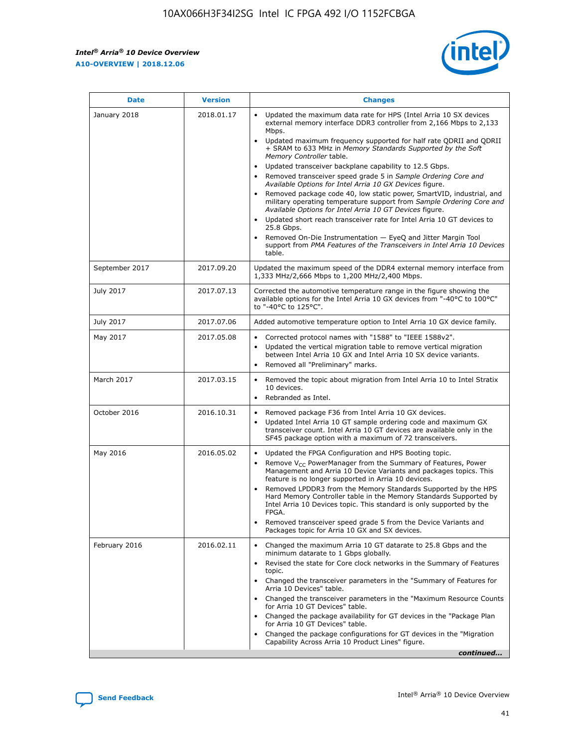

| <b>Date</b>    | <b>Version</b> | <b>Changes</b>                                                                                                                                                                                                                                                                                                                                                                                                                                                                                                                                                                                                                                                                                                                                                                                                                                                                                                                                               |
|----------------|----------------|--------------------------------------------------------------------------------------------------------------------------------------------------------------------------------------------------------------------------------------------------------------------------------------------------------------------------------------------------------------------------------------------------------------------------------------------------------------------------------------------------------------------------------------------------------------------------------------------------------------------------------------------------------------------------------------------------------------------------------------------------------------------------------------------------------------------------------------------------------------------------------------------------------------------------------------------------------------|
| January 2018   | 2018.01.17     | Updated the maximum data rate for HPS (Intel Arria 10 SX devices<br>external memory interface DDR3 controller from 2,166 Mbps to 2,133<br>Mbps.<br>Updated maximum frequency supported for half rate QDRII and QDRII<br>+ SRAM to 633 MHz in Memory Standards Supported by the Soft<br>Memory Controller table.<br>Updated transceiver backplane capability to 12.5 Gbps.<br>Removed transceiver speed grade 5 in Sample Ordering Core and<br>Available Options for Intel Arria 10 GX Devices figure.<br>Removed package code 40, low static power, SmartVID, industrial, and<br>military operating temperature support from Sample Ordering Core and<br>Available Options for Intel Arria 10 GT Devices figure.<br>Updated short reach transceiver rate for Intel Arria 10 GT devices to<br>25.8 Gbps.<br>Removed On-Die Instrumentation - EyeQ and Jitter Margin Tool<br>support from PMA Features of the Transceivers in Intel Arria 10 Devices<br>table. |
| September 2017 | 2017.09.20     | Updated the maximum speed of the DDR4 external memory interface from<br>1,333 MHz/2,666 Mbps to 1,200 MHz/2,400 Mbps.                                                                                                                                                                                                                                                                                                                                                                                                                                                                                                                                                                                                                                                                                                                                                                                                                                        |
| July 2017      | 2017.07.13     | Corrected the automotive temperature range in the figure showing the<br>available options for the Intel Arria 10 GX devices from "-40°C to 100°C"<br>to "-40°C to 125°C".                                                                                                                                                                                                                                                                                                                                                                                                                                                                                                                                                                                                                                                                                                                                                                                    |
| July 2017      | 2017.07.06     | Added automotive temperature option to Intel Arria 10 GX device family.                                                                                                                                                                                                                                                                                                                                                                                                                                                                                                                                                                                                                                                                                                                                                                                                                                                                                      |
| May 2017       | 2017.05.08     | Corrected protocol names with "1588" to "IEEE 1588v2".<br>$\bullet$<br>Updated the vertical migration table to remove vertical migration<br>$\bullet$<br>between Intel Arria 10 GX and Intel Arria 10 SX device variants.<br>Removed all "Preliminary" marks.<br>$\bullet$                                                                                                                                                                                                                                                                                                                                                                                                                                                                                                                                                                                                                                                                                   |
| March 2017     | 2017.03.15     | Removed the topic about migration from Intel Arria 10 to Intel Stratix<br>$\bullet$<br>10 devices.<br>Rebranded as Intel.<br>$\bullet$                                                                                                                                                                                                                                                                                                                                                                                                                                                                                                                                                                                                                                                                                                                                                                                                                       |
| October 2016   | 2016.10.31     | Removed package F36 from Intel Arria 10 GX devices.<br>Updated Intel Arria 10 GT sample ordering code and maximum GX<br>$\bullet$<br>transceiver count. Intel Arria 10 GT devices are available only in the<br>SF45 package option with a maximum of 72 transceivers.                                                                                                                                                                                                                                                                                                                                                                                                                                                                                                                                                                                                                                                                                        |
| May 2016       | 2016.05.02     | Updated the FPGA Configuration and HPS Booting topic.<br>$\bullet$<br>Remove V <sub>CC</sub> PowerManager from the Summary of Features, Power<br>Management and Arria 10 Device Variants and packages topics. This<br>feature is no longer supported in Arria 10 devices.<br>Removed LPDDR3 from the Memory Standards Supported by the HPS<br>Hard Memory Controller table in the Memory Standards Supported by<br>Intel Arria 10 Devices topic. This standard is only supported by the<br><b>FPGA</b><br>Removed transceiver speed grade 5 from the Device Variants and<br>Packages topic for Arria 10 GX and SX devices.                                                                                                                                                                                                                                                                                                                                   |
| February 2016  | 2016.02.11     | Changed the maximum Arria 10 GT datarate to 25.8 Gbps and the<br>$\bullet$<br>minimum datarate to 1 Gbps globally.<br>Revised the state for Core clock networks in the Summary of Features<br>$\bullet$<br>topic.<br>Changed the transceiver parameters in the "Summary of Features for<br>$\bullet$<br>Arria 10 Devices" table.<br>Changed the transceiver parameters in the "Maximum Resource Counts<br>for Arria 10 GT Devices" table.<br>Changed the package availability for GT devices in the "Package Plan<br>for Arria 10 GT Devices" table.<br>Changed the package configurations for GT devices in the "Migration"<br>Capability Across Arria 10 Product Lines" figure.<br>continued                                                                                                                                                                                                                                                               |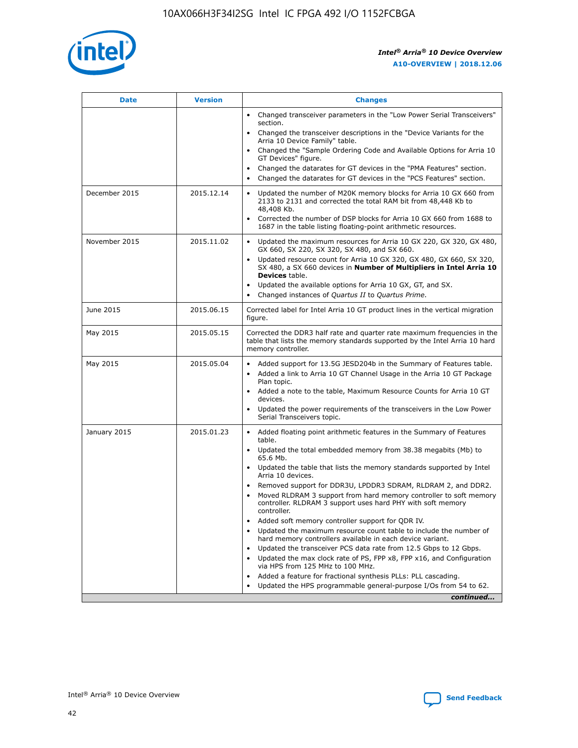

| <b>Date</b>   | <b>Version</b> | <b>Changes</b>                                                                                                                                                               |
|---------------|----------------|------------------------------------------------------------------------------------------------------------------------------------------------------------------------------|
|               |                | • Changed transceiver parameters in the "Low Power Serial Transceivers"<br>section.                                                                                          |
|               |                | • Changed the transceiver descriptions in the "Device Variants for the<br>Arria 10 Device Family" table.                                                                     |
|               |                | Changed the "Sample Ordering Code and Available Options for Arria 10<br>$\bullet$<br>GT Devices" figure.                                                                     |
|               |                | Changed the datarates for GT devices in the "PMA Features" section.                                                                                                          |
|               |                | Changed the datarates for GT devices in the "PCS Features" section.<br>$\bullet$                                                                                             |
| December 2015 | 2015.12.14     | Updated the number of M20K memory blocks for Arria 10 GX 660 from<br>2133 to 2131 and corrected the total RAM bit from 48,448 Kb to<br>48,408 Kb.                            |
|               |                | Corrected the number of DSP blocks for Arria 10 GX 660 from 1688 to<br>1687 in the table listing floating-point arithmetic resources.                                        |
| November 2015 | 2015.11.02     | Updated the maximum resources for Arria 10 GX 220, GX 320, GX 480,<br>$\bullet$<br>GX 660, SX 220, SX 320, SX 480, and SX 660.                                               |
|               |                | • Updated resource count for Arria 10 GX 320, GX 480, GX 660, SX 320,<br>SX 480, a SX 660 devices in Number of Multipliers in Intel Arria 10<br><b>Devices</b> table.        |
|               |                | Updated the available options for Arria 10 GX, GT, and SX.                                                                                                                   |
|               |                | Changed instances of Quartus II to Quartus Prime.<br>$\bullet$                                                                                                               |
| June 2015     | 2015.06.15     | Corrected label for Intel Arria 10 GT product lines in the vertical migration<br>figure.                                                                                     |
| May 2015      | 2015.05.15     | Corrected the DDR3 half rate and quarter rate maximum frequencies in the<br>table that lists the memory standards supported by the Intel Arria 10 hard<br>memory controller. |
| May 2015      | 2015.05.04     | • Added support for 13.5G JESD204b in the Summary of Features table.                                                                                                         |
|               |                | • Added a link to Arria 10 GT Channel Usage in the Arria 10 GT Package<br>Plan topic.                                                                                        |
|               |                | • Added a note to the table, Maximum Resource Counts for Arria 10 GT<br>devices.                                                                                             |
|               |                | • Updated the power requirements of the transceivers in the Low Power<br>Serial Transceivers topic.                                                                          |
| January 2015  | 2015.01.23     | • Added floating point arithmetic features in the Summary of Features<br>table.                                                                                              |
|               |                | • Updated the total embedded memory from 38.38 megabits (Mb) to<br>65.6 Mb.                                                                                                  |
|               |                | • Updated the table that lists the memory standards supported by Intel<br>Arria 10 devices.                                                                                  |
|               |                | Removed support for DDR3U, LPDDR3 SDRAM, RLDRAM 2, and DDR2.                                                                                                                 |
|               |                | Moved RLDRAM 3 support from hard memory controller to soft memory<br>controller. RLDRAM 3 support uses hard PHY with soft memory<br>controller.                              |
|               |                | Added soft memory controller support for QDR IV.<br>٠                                                                                                                        |
|               |                | Updated the maximum resource count table to include the number of<br>hard memory controllers available in each device variant.                                               |
|               |                | Updated the transceiver PCS data rate from 12.5 Gbps to 12 Gbps.<br>$\bullet$                                                                                                |
|               |                | Updated the max clock rate of PS, FPP x8, FPP x16, and Configuration<br>via HPS from 125 MHz to 100 MHz.                                                                     |
|               |                | Added a feature for fractional synthesis PLLs: PLL cascading.                                                                                                                |
|               |                | Updated the HPS programmable general-purpose I/Os from 54 to 62.<br>$\bullet$                                                                                                |
|               |                | continued                                                                                                                                                                    |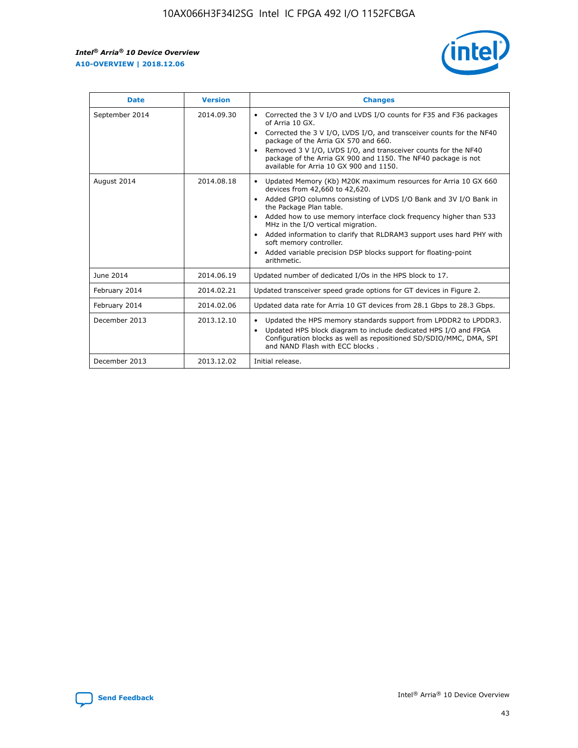r



| <b>Date</b>    | <b>Version</b> | <b>Changes</b>                                                                                                                                                                                                                                                                                                                                                                                                                                                                                                                                      |
|----------------|----------------|-----------------------------------------------------------------------------------------------------------------------------------------------------------------------------------------------------------------------------------------------------------------------------------------------------------------------------------------------------------------------------------------------------------------------------------------------------------------------------------------------------------------------------------------------------|
| September 2014 | 2014.09.30     | Corrected the 3 V I/O and LVDS I/O counts for F35 and F36 packages<br>$\bullet$<br>of Arria 10 GX.<br>Corrected the 3 V I/O, LVDS I/O, and transceiver counts for the NF40<br>$\bullet$<br>package of the Arria GX 570 and 660.<br>Removed 3 V I/O, LVDS I/O, and transceiver counts for the NF40<br>package of the Arria GX 900 and 1150. The NF40 package is not<br>available for Arria 10 GX 900 and 1150.                                                                                                                                       |
| August 2014    | 2014.08.18     | Updated Memory (Kb) M20K maximum resources for Arria 10 GX 660<br>devices from 42,660 to 42,620.<br>Added GPIO columns consisting of LVDS I/O Bank and 3V I/O Bank in<br>$\bullet$<br>the Package Plan table.<br>Added how to use memory interface clock frequency higher than 533<br>$\bullet$<br>MHz in the I/O vertical migration.<br>Added information to clarify that RLDRAM3 support uses hard PHY with<br>$\bullet$<br>soft memory controller.<br>Added variable precision DSP blocks support for floating-point<br>$\bullet$<br>arithmetic. |
| June 2014      | 2014.06.19     | Updated number of dedicated I/Os in the HPS block to 17.                                                                                                                                                                                                                                                                                                                                                                                                                                                                                            |
| February 2014  | 2014.02.21     | Updated transceiver speed grade options for GT devices in Figure 2.                                                                                                                                                                                                                                                                                                                                                                                                                                                                                 |
| February 2014  | 2014.02.06     | Updated data rate for Arria 10 GT devices from 28.1 Gbps to 28.3 Gbps.                                                                                                                                                                                                                                                                                                                                                                                                                                                                              |
| December 2013  | 2013.12.10     | Updated the HPS memory standards support from LPDDR2 to LPDDR3.<br>Updated HPS block diagram to include dedicated HPS I/O and FPGA<br>$\bullet$<br>Configuration blocks as well as repositioned SD/SDIO/MMC, DMA, SPI<br>and NAND Flash with ECC blocks.                                                                                                                                                                                                                                                                                            |
| December 2013  | 2013.12.02     | Initial release.                                                                                                                                                                                                                                                                                                                                                                                                                                                                                                                                    |